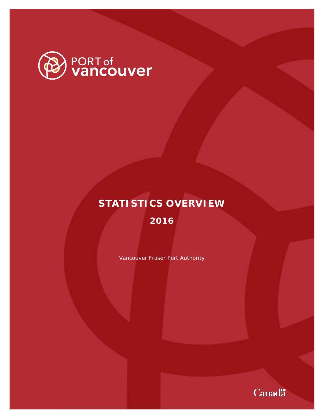

# **STATISTICS OVERVIEW**

**2016**

Vancouver Fraser Port Authority

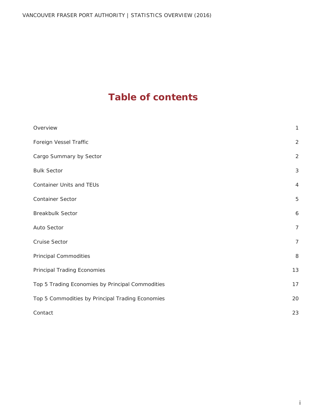## **Table of contents**

| Overview                                         | $\mathbf{1}$   |
|--------------------------------------------------|----------------|
| Foreign Vessel Traffic                           | $\overline{2}$ |
| Cargo Summary by Sector                          | $\overline{2}$ |
| <b>Bulk Sector</b>                               | 3              |
| <b>Container Units and TEUs</b>                  | $\overline{4}$ |
| Container Sector                                 | 5              |
| <b>Breakbulk Sector</b>                          | 6              |
| Auto Sector                                      | $\overline{7}$ |
| <b>Cruise Sector</b>                             | $\overline{7}$ |
| <b>Principal Commodities</b>                     | 8              |
| Principal Trading Economies                      | 13             |
| Top 5 Trading Economies by Principal Commodities | 17             |
| Top 5 Commodities by Principal Trading Economies | 20             |
| Contact                                          | 23             |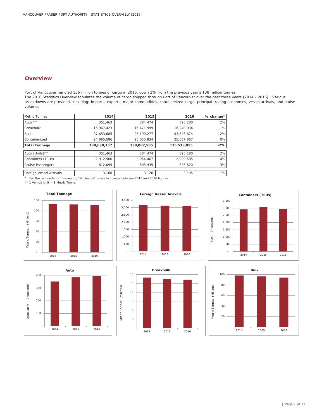## **Overview**

Port of Vancouver handled 136 million tonnes of cargo in 2016, down 2% from the previous year's 138 million tonnes. The 2016 Statistics Overview tabulates the volume of cargo shipped through Port of Vancouver over the past three years (2014 - 2016). Various breakdowns are provided, including: imports, exports, major commodities, containerized cargo, principal trading economies, vessel arrivals, and cruise volumes.

| Metric Tonnes            | 2014        | 2015        | 2016        | % change* |
|--------------------------|-------------|-------------|-------------|-----------|
| Auto $**$                | 351,463     | 384.474     | 393,280     | 2%        |
| <b>Breakbulk</b>         | 16,967,423  | 16,471,999  | 16,240,034  | $-1%$     |
| <b>Bulk</b>              | 97.653.685  | 96.190.277  | 93.846.874  | $-2%$     |
| Containerized            | 24,665,586  | 25.035.834  | 25,057,867  | 0%        |
| <b>Total Tonnage</b>     | 139,638,157 | 138,082,585 | 135,538,055 | $-2%$     |
| Auto (Units) **          | 351,463     | 384,474     | 393,280     | 2%        |
| Containers (TEUs)        | 2,912,900   | 3,054,467   | 2,929,585   | $-4%$     |
| <b>Cruise Passengers</b> | 812,095     | 805.435     | 826,820     | 3%        |
| Foreign Vessel Arrivals  | 3.168       | 3,126       | 3.105       | $-1%$     |

\* For the remainder of this report, "% change" refers to change between 2015 and 2016 figures

\*\* 1 Vehicle Unit = 1 Metric Tonne











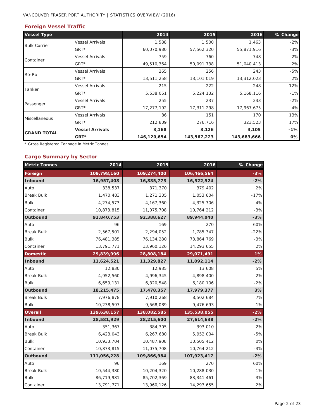#### VANCOUVER FRASER PORT AUTHORITY | STATISTICS OVERVIEW (2016)

## **Foreign Vessel Traffic**

| <b>Vessel Type</b>   |                        | 2014        | 2015        | 2016        | % Change |
|----------------------|------------------------|-------------|-------------|-------------|----------|
| <b>Bulk Carrier</b>  | <b>Vessel Arrivals</b> | 1,588       | 1,500       | 1,463       | $-2%$    |
|                      | $GRT*$                 | 60,070,980  | 57,562,320  | 55,871,916  | $-3%$    |
| Container            | <b>Vessel Arrivals</b> | 759         | 760         | 748         | $-2%$    |
|                      | $GRT*$                 | 49,510,364  | 50,091,738  | 51,040,413  | 2%       |
| Ro-Ro                | <b>Vessel Arrivals</b> | 265         | 256         | 243         | $-5%$    |
|                      | $GRT*$                 | 13,511,258  | 13,101,019  | 13,312,023  | 2%       |
|                      | <b>Vessel Arrivals</b> | 215         | 222         | 248         | 12%      |
| Tanker               | $GRT*$                 | 5,538,051   | 5,224,132   | 5,168,116   | $-1%$    |
|                      | <b>Vessel Arrivals</b> | 255         | 237         | 233         | $-2%$    |
| Passenger            | $GRT*$                 | 17,277,192  | 17,311,298  | 17,967,675  | 4%       |
|                      | <b>Vessel Arrivals</b> | 86          | 151         | 170         | 13%      |
| <b>Miscellaneous</b> | $GRT*$                 | 212,809     | 276,716     | 323,523     | 17%      |
| <b>GRAND TOTAL</b>   | <b>Vessel Arrivals</b> | 3,168       | 3,126       | 3,105       | $-1%$    |
|                      | GRT*                   | 146,120,654 | 143,567,223 | 143,683,666 | 0%       |

\* Gross Registered Tonnage in Metric Tonnes

#### **Cargo Summary by Sector**

| <b>Metric Tonnes</b> | 2014        | 2015        | 2016        | % Change |
|----------------------|-------------|-------------|-------------|----------|
| Foreign              | 109,798,160 | 109,274,400 | 106,466,564 | $-3%$    |
| <b>Inbound</b>       | 16,957,408  | 16,885,773  | 16,522,524  | $-2%$    |
| Auto                 | 338,537     | 371,370     | 379,402     | 2%       |
| <b>Break Bulk</b>    | 1,470,483   | 1,271,335   | 1,053,604   | $-17%$   |
| <b>Bulk</b>          | 4,274,573   | 4, 167, 360 | 4,325,306   | 4%       |
| Container            | 10,873,815  | 11,075,708  | 10,764,212  | $-3%$    |
| Outbound             | 92,840,753  | 92,388,627  | 89,944,040  | $-3%$    |
| Auto                 | 96          | 169         | 270         | 60%      |
| <b>Break Bulk</b>    | 2,567,501   | 2,294,052   | 1,785,347   | $-22%$   |
| <b>Bulk</b>          | 76,481,385  | 76,134,280  | 73,864,769  | $-3%$    |
| Container            | 13,791,771  | 13,960,126  | 14,293,655  | 2%       |
| <b>Domestic</b>      | 29,839,996  | 28,808,184  | 29,071,491  | 1%       |
| <b>Inbound</b>       | 11,624,521  | 11,329,827  | 11,092,114  | $-2%$    |
| Auto                 | 12,830      | 12,935      | 13,608      | 5%       |
| <b>Break Bulk</b>    | 4,952,560   | 4,996,345   | 4,898,400   | $-2%$    |
| <b>Bulk</b>          | 6,659,131   | 6,320,548   | 6,180,106   | $-2%$    |
| Outbound             | 18,215,475  | 17,478,357  | 17,979,377  | 3%       |
| <b>Break Bulk</b>    | 7,976,878   | 7,910,268   | 8,502,684   | 7%       |
| <b>Bulk</b>          | 10,238,597  | 9,568,089   | 9,476,693   | $-1%$    |
| <b>Overall</b>       | 139,638,157 | 138,082,585 | 135,538,055 | $-2%$    |
| <b>Inbound</b>       | 28,581,929  | 28,215,600  | 27,614,638  | $-2%$    |
| Auto                 | 351,367     | 384,305     | 393,010     | 2%       |
| <b>Break Bulk</b>    | 6,423,043   | 6,267,680   | 5,952,004   | $-5%$    |
| <b>Bulk</b>          | 10,933,704  | 10,487,908  | 10,505,412  | 0%       |
| Container            | 10,873,815  | 11,075,708  | 10,764,212  | $-3%$    |
| Outbound             | 111,056,228 | 109,866,984 | 107,923,417 | $-2%$    |
| Auto                 | 96          | 169         | 270         | 60%      |
| <b>Break Bulk</b>    | 10,544,380  | 10,204,320  | 10,288,030  | 1%       |
| <b>Bulk</b>          | 86,719,981  | 85,702,369  | 83,341,461  | $-3%$    |
| Container            | 13,791,771  | 13,960,126  | 14,293,655  | 2%       |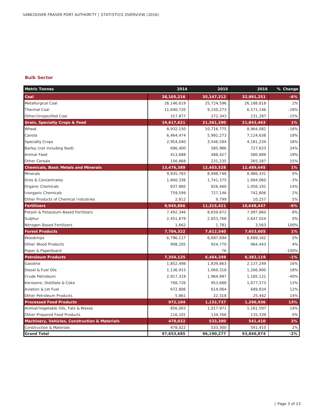#### **Bulk Sector**

| <b>Metric Tonnes</b>                          | 2014         | 2015         | 2016        | % Change |
|-----------------------------------------------|--------------|--------------|-------------|----------|
| Coal                                          | 38, 105, 216 | 35, 147, 212 | 32,991,251  | -6%      |
| Metallurgical Coal                            | 26,146,619   | 25,724,596   | 26,188,818  | 2%       |
| <b>Thermal Coal</b>                           | 11,640,720   | 9,150,273    | 6,571,146   | $-28%$   |
| Other/Unspecified Coal                        | 317,877      | 272,343      | 231,287     | $-15%$   |
| <b>Grain, Specialty Crops &amp; Feed</b>      | 19,617,621   | 21,561,290   | 21,843,463  | 1%       |
| Wheat                                         | 8,932,150    | 10,716,775   | 8,964,082   | $-16%$   |
| Canola                                        | 6,464,474    | 5,992,273    | 7,124,638   | 19%      |
| <b>Specialty Crops</b>                        | 2,954,040    | 3,546,594    | 4, 181, 234 | 18%      |
| Barley (not including feed)                   | 696,400      | 585,986      | 727,633     | 24%      |
| Animal Feed                                   | 413,688      | 488,427      | 580,689     | 19%      |
| <b>Other Cereals</b>                          | 156,868      | 231,235      | 265,187     | 15%      |
| <b>Chemicals, Basic Metals and Minerals</b>   | 13,476,389   | 12,403,528   | 12,489,645  | 1%       |
| <b>Minerals</b>                               | 9,935,783    | 8,998,748    | 8,986,331   | 0%       |
| Ores & Concentrates                           | 1,840,336    | 1,741,375    | 1,694,060   | $-3%$    |
| <b>Organic Chemicals</b>                      | 937,860      | 926,460      | 1,056,191   | 14%      |
| <b>Inorganic Chemicals</b>                    | 759,599      | 727,146      | 742,806     | 2%       |
| Other Products of Chemical Industries         | 2,812        | 9,799        | 10,257      | 5%       |
| <b>Fertilizers</b>                            | 9,945,886    | 11,315,421   | 10,648,447  | $-6%$    |
| Potash & Potassium-Based Fertilizers          | 7,492,346    | 8,659,872    | 7,997,860   | $-8%$    |
| Sulphur                                       | 2,451,879    | 2,653,768    | 2,647,024   | 0%       |
| Nitrogen-Based Fertilizers                    | 1,662        | 1,781        | 3,563       | 100%     |
| <b>Forest Products</b>                        | 7,704,322    | 7,612,540    | 7,653,605   | 1%       |
| Woodchips                                     | 6,796,117    | 6,687,694    | 6,689,162   | 0%       |
| Other Wood Products                           | 908,205      | 924,770      | 964,443     | 4%       |
| Paper & Paperboard                            |              | 76           |             | $-100%$  |
| <b>Petroleum Products</b>                     | 7,354,125    | 6,464,249    | 6,382,119   | $-1%$    |
| Gasoline                                      | 1,852,498    | 1,839,863    | 2,137,249   | 16%      |
| Diesel & Fuel Oils                            | 1,136,915    | 1,069,318    | 1,266,900   | 18%      |
| Crude Petroleum                               | 2,917,319    | 1,964,997    | 1,185,121   | $-40%$   |
| Kerosene, Distillate & Coke                   | 768,726      | 953,688      | 1,077,573   | 13%      |
| Aviation & Jet Fuel                           | 672,806      | 614,064      | 689,834     | 12%      |
| Other Petroleum Products                      | 5,861        | 22,318       | 25,442      | 14%      |
| <b>Processed Food Products</b>                | 972,104      | 1,152,737    | 1,296,936   | 13%      |
| Animal/Vegetable Oils, Fats & Waxes           | 856,003      | 1,017,971    | 1,161,597   | 14%      |
| Other Prepared Food Products                  | 116,101      | 134,766      | 135,339     | 0%       |
| Machinery, Vehicles, Construction & Materials | 478,022      | 533,300      | 541,410     | 2%       |
| <b>Construction &amp; Materials</b>           | 478,022      | 533,300      | 541,410     | 2%       |
| <b>Grand Total</b>                            | 97,653,685   | 96,190,277   | 93,846,874  | $-2%$    |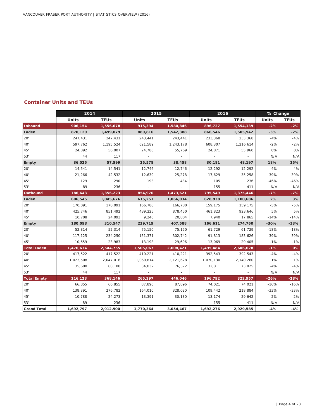#### **Container Units and TEUs**

|                    | 2014      |             | 2015            |                   |              | 2016                 |              | % Change    |  |
|--------------------|-----------|-------------|-----------------|-------------------|--------------|----------------------|--------------|-------------|--|
|                    | Units     | <b>TEUs</b> | Units           | <b>TEUs</b>       | <b>Units</b> | <b>TEUs</b>          | <b>Units</b> | <b>TEUs</b> |  |
| <b>Inbound</b>     | 906,154   | 1,556,678   | 915,394         | 1,580,846         | 896,727      | 1,554,139            | $-2%$        | $-2%$       |  |
| Laden              | 870,129   | 1,499,079   | 889,816         | 1,542,388         | 866,546      | 1,505,942            | $-3%$        | $-2%$       |  |
| 20'                | 247,431   | 247,431     | 243,441         | 243,441           | 233,368      | 233,368              | $-4%$        | $-4%$       |  |
| 40'                | 597,762   | 1,195,524   | 621,589         | 1,243,178         | 608,307      | 1,216,614            | $-2%$        | $-2%$       |  |
| 45'                | 24,892    | 56,007      | 24,786          | 55,769            | 24,871       | 55,960               | 0%           | 0%          |  |
| 53'                | 44        | 117         |                 |                   |              |                      | N/A          | N/A         |  |
| Empty              | 36,025    | 57,599      | 25,578          | 38,458            | 30,181       | 48,197               | 18%          | 25%         |  |
| 20'                | 14,541    | 14,541      | 12,746          | 12,746            | 12,292       | 12,292               | $-4%$        | $-4%$       |  |
| 40'                | 21,266    | 42,532      | 12,639          | 25,278            | 17,629       | 35,258               | 39%          | 39%         |  |
| 45'                | 129       | 290         | 193             | 434               | 105          | 236                  | $-46%$       | $-46%$      |  |
| 53'                | 89        | 236         | $\sim 10^{-11}$ |                   | 155          | 411                  | N/A          | N/A         |  |
| Outbound           | 786,643   | 1,356,223   | 854,970         | 1,473,621         | 795,549      | 1,375,446            | $-7%$        | $-7%$       |  |
| Laden              | 606,545   | 1,045,676   | 615,251         | 1,066,034         | 628,938      | 1,100,686            | 2%           | 3%          |  |
| 20'                | 170,091   | 170,091     | 166,780         | 166,780           | 159,175      | 159,175              | $-5%$        | $-5%$       |  |
| 40'                | 425.746   | 851,492     | 439.225         | 878,450           | 461.823      | 923,646              | 5%           | 5%          |  |
| 45'                | 10,708    | 24,093      | 9,246           | 20,804            | 7,940        | 17,865               | $-14%$       | $-14%$      |  |
| Empty              | 180,098   | 310,547     | 239,719         | 407,588           | 166,611      | 274,760              | $-30%$       | $-33%$      |  |
| 20'                | 52,314    | 52,314      | 75,150          | 75,150            | 61,729       | 61,729               | $-18%$       | $-18%$      |  |
| 40'                | 117,125   | 234,250     | 151,371         | 302,742           | 91,813       | 183,626              | $-39%$       | $-39%$      |  |
| 45'                | 10,659    | 23,983      | 13,198          | 29,696            | 13,069       | 29,405               | $-1%$        | $-1%$       |  |
| <b>Total Laden</b> | 1,476,674 | 2,544,755   | 1,505,067       | 2,608,421         | 1,495,484    | 2,606,628            | $-1%$        | 0%          |  |
| 20'                | 417,522   | 417,522     | 410,221         | 410,221           | 392,543      | 392,543              | $-4%$        | $-4%$       |  |
| 40'                | 1,023,508 | 2,047,016   | 1,060,814       | 2,121,628         | 1,070,130    | 2,140,260            | 1%           | 1%          |  |
| 45'                | 35,600    | 80,100      | 34,032          | 76,572            | 32,811       | 73,825               | $-4%$        | $-4%$       |  |
| 53'                | 44        | 117         |                 | <b>Contractor</b> |              | $\sim 100$ m $^{-1}$ | N/A          | N/A         |  |
| <b>Total Empty</b> | 216,123   | 368,146     | 265,297         | 446,046           | 196,792      | 322,957              | $-26%$       | $-28%$      |  |
| 20'                | 66,855    | 66,855      | 87,896          | 87,896            | 74,021       | 74,021               | $-16%$       | $-16%$      |  |
| 40'                | 138,391   | 276,782     | 164,010         | 328,020           | 109,442      | 218,884              | $-33%$       | $-33%$      |  |
| 45'                | 10,788    | 24,273      | 13,391          | 30,130            | 13,174       | 29,642               | $-2%$        | $-2%$       |  |
| 53'                | 89        | 236         |                 | $\sim$            | 155          | 411                  | N/A          | N/A         |  |
| <b>Grand Total</b> | 1,692,797 | 2,912,900   | 1,770,364       | 3,054,467         | 1,692,276    | 2,929,585            | $-4%$        | $-4%$       |  |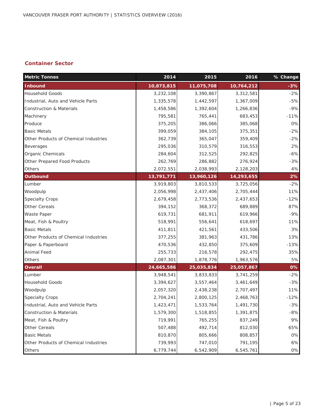## **Container Sector**

| <b>Metric Tonnes</b>                  | 2014       | 2015       | 2016       | % Change |
|---------------------------------------|------------|------------|------------|----------|
| <b>Inbound</b>                        | 10,873,815 | 11,075,708 | 10,764,212 | $-3%$    |
| <b>Household Goods</b>                | 3,232,108  | 3,390,867  | 3,312,581  | $-2%$    |
| Industrial, Auto and Vehicle Parts    | 1,335,578  | 1,442,597  | 1,367,009  | $-5%$    |
| <b>Construction &amp; Materials</b>   | 1,458,586  | 1,392,604  | 1,266,836  | $-9%$    |
| Machinery                             | 795,581    | 765,441    | 683,453    | $-11%$   |
| Produce                               | 375,205    | 386,066    | 385,068    | 0%       |
| <b>Basic Metals</b>                   | 399,059    | 384,105    | 375,351    | $-2%$    |
| Other Products of Chemical Industries | 362,739    | 365,047    | 359,409    | $-2%$    |
| <b>Beverages</b>                      | 295,036    | 310,579    | 316,553    | 2%       |
| Organic Chemicals                     | 284,604    | 312,525    | 292,825    | $-6%$    |
| Other Prepared Food Products          | 262,769    | 286,882    | 276,924    | $-3%$    |
| Others                                | 2,072,551  | 2,038,993  | 2,128,203  | 4%       |
| <b>Outbound</b>                       | 13,791,771 | 13,960,126 | 14,293,655 | 2%       |
| Lumber                                | 3,919,803  | 3,810,533  | 3,725,056  | $-2%$    |
| Woodpulp                              | 2,056,998  | 2,437,406  | 2,705,444  | 11%      |
| <b>Specialty Crops</b>                | 2,679,458  | 2,773,536  | 2,437,653  | $-12%$   |
| Other Cereals                         | 394,152    | 368,372    | 689,889    | 87%      |
| Waste Paper                           | 619,731    | 681,911    | 619,966    | $-9%$    |
| Meat, Fish & Poultry                  | 518,991    | 556,641    | 618,697    | 11%      |
| <b>Basic Metals</b>                   | 411,811    | 421,561    | 433,506    | 3%       |
| Other Products of Chemical Industries | 377,255    | 381,963    | 431,786    | 13%      |
| Paper & Paperboard                    | 470,536    | 432,850    | 375,609    | $-13%$   |
| <b>Animal Feed</b>                    | 255,733    | 216,578    | 292,475    | 35%      |
| Others                                | 2,087,301  | 1,878,776  | 1,963,576  | 5%       |
| <b>Overall</b>                        | 24,665,586 | 25,035,834 | 25,057,867 | 0%       |
| Lumber                                | 3,948,541  | 3,833,833  | 3,741,259  | $-2%$    |
| <b>Household Goods</b>                | 3,394,627  | 3,557,464  | 3,461,649  | $-3%$    |
| Woodpulp                              | 2,057,320  | 2,438,238  | 2,707,497  | 11%      |
| <b>Specialty Crops</b>                | 2,704,241  | 2,800,125  | 2,468,763  | $-12%$   |
| Industrial, Auto and Vehicle Parts    | 1,423,471  | 1,533,764  | 1,491,730  | $-3%$    |
| <b>Construction &amp; Materials</b>   | 1,579,300  | 1,518,855  | 1,391,875  | $-8%$    |
| Meat, Fish & Poultry                  | 719,991    | 765,255    | 837,249    | 9%       |
| Other Cereals                         | 507,488    | 492,714    | 812,030    | 65%      |
| <b>Basic Metals</b>                   | 810,870    | 805,666    | 808,857    | 0%       |
| Other Products of Chemical Industries | 739,993    | 747,010    | 791,195    | 6%       |
| Others                                | 6,779,744  | 6,542,909  | 6,545,761  | 0%       |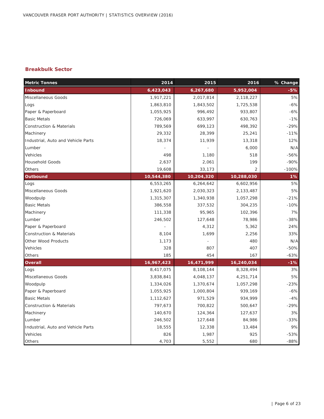#### **Breakbulk Sector**

| <b>Metric Tonnes</b>                | 2014       | 2015       | 2016           | % Change |
|-------------------------------------|------------|------------|----------------|----------|
| <b>Inbound</b>                      | 6,423,043  | 6,267,680  | 5,952,004      | -5%      |
| Miscellaneous Goods                 | 1,917,221  | 2,017,814  | 2,118,227      | 5%       |
| Logs                                | 1,863,810  | 1,843,502  | 1,725,538      | $-6%$    |
| Paper & Paperboard                  | 1,055,925  | 996,492    | 933,807        | $-6%$    |
| <b>Basic Metals</b>                 | 726,069    | 633,997    | 630,763        | $-1%$    |
| <b>Construction &amp; Materials</b> | 789,569    | 699,123    | 498,392        | $-29%$   |
| Machinery                           | 29,332     | 28,399     | 25,241         | $-11%$   |
| Industrial, Auto and Vehicle Parts  | 18,374     | 11,939     | 13,318         | 12%      |
| Lumber                              |            |            | 6,000          | N/A      |
| Vehicles                            | 498        | 1,180      | 518            | $-56%$   |
| <b>Household Goods</b>              | 2,637      | 2,061      | 199            | $-90%$   |
| Others                              | 19,608     | 33,173     | $\overline{2}$ | $-100%$  |
| Outbound                            | 10,544,380 | 10,204,320 | 10,288,030     | 1%       |
| Logs                                | 6,553,265  | 6,264,642  | 6,602,956      | 5%       |
| Miscellaneous Goods                 | 1,921,620  | 2,030,323  | 2,133,487      | 5%       |
| Woodpulp                            | 1,315,307  | 1,340,938  | 1,057,298      | $-21%$   |
| <b>Basic Metals</b>                 | 386,558    | 337,532    | 304,235        | $-10%$   |
| Machinery                           | 111,338    | 95,965     | 102,396        | 7%       |
| Lumber                              | 246,502    | 127,648    | 78,986         | $-38%$   |
| Paper & Paperboard                  |            | 4,312      | 5,362          | 24%      |
| <b>Construction &amp; Materials</b> | 8,104      | 1,699      | 2,256          | 33%      |
| <b>Other Wood Products</b>          | 1,173      |            | 480            | N/A      |
| Vehicles                            | 328        | 807        | 407            | $-50%$   |
| Others                              | 185        | 454        | 167            | $-63%$   |
| Overall                             | 16,967,423 | 16,471,999 | 16,240,034     | $-1%$    |
| Logs                                | 8,417,075  | 8,108,144  | 8,328,494      | 3%       |
| Miscellaneous Goods                 | 3,838,841  | 4,048,137  | 4,251,714      | 5%       |
| Woodpulp                            | 1,334,026  | 1,370,674  | 1,057,298      | $-23%$   |
| Paper & Paperboard                  | 1,055,925  | 1,000,804  | 939,169        | $-6%$    |
| <b>Basic Metals</b>                 | 1,112,627  | 971,529    | 934,999        | $-4%$    |
| <b>Construction &amp; Materials</b> | 797,673    | 700,822    | 500,647        | $-29%$   |
| Machinery                           | 140,670    | 124,364    | 127,637        | 3%       |
| Lumber                              | 246,502    | 127,648    | 84,986         | $-33%$   |
| Industrial, Auto and Vehicle Parts  | 18,555     | 12,338     | 13,484         | 9%       |
| Vehicles                            | 826        | 1,987      | 925            | $-53%$   |
| Others                              | 4,703      | 5,552      | 680            | $-88%$   |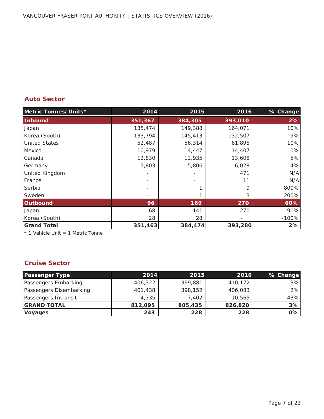## **Auto Sector**

| Metric Tonnes/Units*  | 2014    | 2015    | 2016    | % Change |
|-----------------------|---------|---------|---------|----------|
| <b>Inbound</b>        | 351,367 | 384,305 | 393,010 | 2%       |
| Japan                 | 135,474 | 149,388 | 164,071 | 10%      |
| Korea (South)         | 133,794 | 145,413 | 132,507 | $-9%$    |
| <b>United States</b>  | 52,487  | 56,314  | 61,895  | 10%      |
| Mexico                | 10,979  | 14,447  | 14,407  | 0%       |
| Canada                | 12,830  | 12,935  | 13,608  | 5%       |
| Germany               | 5,803   | 5,806   | 6,028   | 4%       |
| <b>United Kingdom</b> |         |         | 471     | N/A      |
| France                |         |         | 11      | N/A      |
| Serbia                |         |         | 9       | 800%     |
| Sweden                |         |         | 3       | 200%     |
| <b>Outbound</b>       | 96      | 169     | 270     | 60%      |
| Japan                 | 68      | 141     | 270     | 91%      |
| Korea (South)         | 28      | 28      |         | $-100%$  |
| <b>Grand Total</b>    | 351,463 | 384,474 | 393,280 | 2%       |

\* 1 Vehicle Unit = 1 Metric Tonne

## **Cruise Sector**

| <b>Passenger Type</b>   | 2014    | 2015    | 2016    | % Change |
|-------------------------|---------|---------|---------|----------|
| Passengers Embarking    | 406,322 | 399,881 | 410,172 | 3%       |
| Passengers Disembarking | 401,438 | 398,152 | 406,083 | 2%       |
| Passengers Intransit    | 4,335   | 7.402   | 10,565  | 43%      |
| <b>GRAND TOTAL</b>      | 812,095 | 805,435 | 826,820 | 3%       |
| <b>Voyages</b>          | 243     | 228     | 228     | 0%       |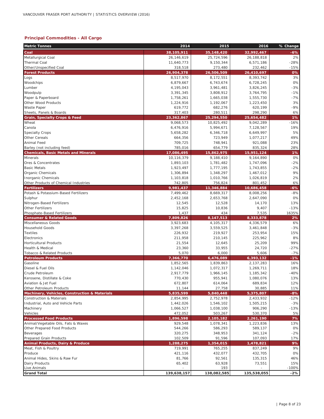#### **Principal Commodities - All Cargo**

| <b>Metric Tonnes</b>                                                   | 2014                 | 2015                 | 2016                 | % Change    |
|------------------------------------------------------------------------|----------------------|----------------------|----------------------|-------------|
| Coal                                                                   | 38,105,911           | 35,148,420           | 32,992,467           | $-6%$       |
| Metallurgical Coal                                                     | 26,146,619           | 25,724,596           | 26,188,818           | 2%          |
| <b>Thermal Coal</b>                                                    | 11,640,773           | 9,150,344            | 6,571,186            | $-28%$      |
| Other/Unspecified Coal                                                 | 318,518              | 273,480              | 232,462              | $-15%$      |
| <b>Forest Products</b>                                                 | 26,904,378           | 26,506,509           | 26,410,697           | 0%          |
| Logs                                                                   | 8,517,970            | 8,172,551            | 8,393,742            | 3%          |
| Woodchips                                                              | 6,879,667            | 6,743,674            | 6,728,245            | 0%          |
| Lumber                                                                 | 4,195,043            | 3,961,481            | 3,826,245            | $-3%$       |
| Woodpulp                                                               | 3,391,345            | 3,808,912            | 3,764,795            | $-1%$       |
| Paper & Paperboard                                                     | 1,758,261            | 1,665,038            | 1,555,730            | $-7%$<br>3% |
| Other Wood Products                                                    | 1,224,916<br>619,772 | 1,192,067            | 1,223,450            | $-9%$       |
| <b>Waste Paper</b><br>Sheets, Panels & Boards                          | 317,403              | 682,276<br>280,511   | 620,199<br>298,290   | 6%          |
| <b>Grain, Specialty Crops &amp; Feed</b>                               | 23,362,867           | 25,294,550           | 25,654,482           | 1%          |
| Wheat                                                                  | 9,068,573            | 10,825,492           | 9,042,289            | $-16%$      |
| Canola                                                                 | 6,476,916            | 5,994,671            | 7,128,567            | 19%         |
| Specialty Crops                                                        | 5,658,282            | 6,346,718            | 6,649,997            | 5%          |
| <b>Other Cereals</b>                                                   | 664,356              | 723,949              | 1,077,217            | 49%         |
| Animal Feed                                                            | 709,725              | 748,941              | 921,088              | 23%         |
| Barley (not including feed)                                            | 785,016              | 654,779              | 835,324              | 28%         |
| <b>Chemicals, Basic Metals and Minerals</b>                            | 17,086,495           | 15,862,975           | 15,951,124           | 1%          |
| <b>Minerals</b>                                                        | 10,116,379           | 9,188,410            | 9,164,890            | 0%          |
| Ores & Concentrates                                                    | 1,893,103            | 1,781,482            | 1,747,096            | $-2%$       |
| <b>Basic Metals</b>                                                    | 1,923,497            | 1,777,195            | 1,743,855            | $-2%$       |
| Organic Chemicals                                                      | 1,306,894            | 1,348,297            | 1,467,012            | 9%          |
| <b>Inorganic Chemicals</b>                                             | 1,103,818            | 1,010,766            | 1,026,819            | 2%          |
| Other Products of Chemical Industries                                  | 742,805              | 756,824              | 801,452              | 6%          |
| <b>Fertilizers</b>                                                     | 9,981,437            | 11,346,884           | 10,686,458           | $-6%$       |
| Potash & Potassium-Based Fertilizers                                   | 7,499,462            | 8,669,317            | 8,008,256            | $-8%$       |
| Sulphur                                                                | 2,452,168            | 2,653,768            | 2,647,090            | 0%          |
| Nitrogen-Based Fertilizers                                             | 12,545               | 12,528               | 14,170               | 13%         |
| <b>Other Fertilizers</b>                                               | 15,825               | 10,836<br>434        | 9,407                | $-13%$      |
| Phosphate-Based Fertilizers<br><b>Consumer &amp; Related Goods</b>     | 1,437<br>7,809,826   | 8,147,513            | 7,535<br>8,333,878   | 1635%<br>2% |
| Miscellaneous Goods                                                    | 3,923,683            | 4,105,317            | 4,336,579            | 6%          |
| <b>Household Goods</b>                                                 | 3,397,268            | 3,559,525            | 3,461,848            | $-3%$       |
| <b>Textiles</b>                                                        | 226,932              | 219,927              | 253,954              | 15%         |
| Electronics                                                            | 211,958              | 210,145              | 225,962              | 8%          |
| <b>Horticultural Products</b>                                          | 21,554               | 12,645               | 25,209               | 99%         |
| <b>Health &amp; Medical</b>                                            | 23,360               | 33,955               | 24,720               | $-27%$      |
| Tobacco & Related Products                                             | 5,070                | 6,000                | 5,606                | $-7%$       |
| <b>Petroleum Products</b>                                              | 7,366,770            | 6,476,089            | 6,393,132            | -1%         |
| Gasoline                                                               | 1,852,565            | 1,839,863            | 2,137,283            | 16%         |
| Diesel & Fuel Oils                                                     | 1,142,046            | 1,072,317            | 1,269,711            | 18%         |
| Crude Petroleum                                                        | 2,917,779            | 1,966,145            | 1,185,342            | $-40%$      |
| Kerosene, Distillate & Coke                                            | 770,430              | 955,941              | 1,080,076            | 13%         |
| Aviation & Jet Fuel                                                    | 672,807              | 614,064              | 689,834              | 12%         |
| Other Petroleum Products                                               | 11,144               | 27,758               | 30,885               | 11%         |
| Machinery, Vehicles, Construction & Materials                          | 5,835,599            | 5,840,448            | 5,375,807            | $-8%$       |
| Construction & Materials                                               | 2,854,995            | 2,752,978            | 2,433,932            | $-12%$      |
| Industrial, Auto and Vehicle Parts                                     | 1,442,026            | 1,546,102            | 1,505,215            | $-3%$       |
| Machinery                                                              | 1,066,527            | 1,038,100            | 906,290              | $-13%$      |
| Vehicles                                                               | 472,052              | 503,267              | 530,370              | 5%          |
| <b>Processed Food Products</b>                                         | 1,896,598            | 2,105,182            | 2,261,190            | 7%          |
| Animal/Vegetable Oils, Fats & Waxes                                    | 929,548              | 1,078,341            | 1,223,836            | 13%         |
| Other Prepared Food Products                                           | 544,266              | 586,293              | 589,137              | 0%          |
| <b>Beverages</b>                                                       | 320,275              | 348,953              | 341,124              | $-2%$       |
| Prepared Grain Products<br><b>Animal Products, Dairy &amp; Produce</b> | 102,509              | 91,596               | 107,093              | 17%         |
| Meat, Fish & Poultry                                                   | 1,288,275<br>719,991 | 1,354,015<br>765,255 | 1,478,821<br>837,249 | 9%<br>9%    |
| Produce                                                                | 421,116              | 432,077              | 432,705              | 0%          |
| Animal Hides, Skins & Raw Fur                                          | 81,766               | 92,561               | 135,315              | 46%         |
| Dairy Products                                                         | 65,402               | 63,928               | 73,551               | 15%         |
| Live Animals                                                           |                      | 193                  |                      | $-100%$     |
| <b>Grand Total</b>                                                     | 139,638,157          | 138,082,585          | 135,538,055          | -2%         |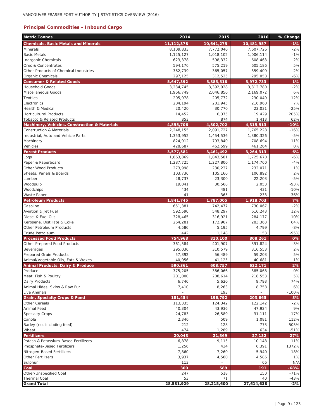## **Principal Commodities - Inbound Cargo**

| <b>Metric Tonnes</b>                          | 2014               | 2015                 | 2016               | % Change  |
|-----------------------------------------------|--------------------|----------------------|--------------------|-----------|
| <b>Chemicals, Basic Metals and Minerals</b>   | 11,112,378         | 10,641,275           | 10,481,957         | $-1%$     |
| Minerals                                      | 8,109,833          | 7,772,040            | 7,607,726          | $-2%$     |
| <b>Basic Metals</b>                           | 1,125,127          | 1,018,102            | 1,006,114          | $-1%$     |
| <b>Inorganic Chemicals</b>                    | 623,378            | 598,332              | 608,463            | 2%        |
| Ores & Concentrates                           | 594,176            | 575,219              | 605,186            | 5%        |
| Other Products of Chemical Industries         | 362,739            | 365,057              | 359,409            | $-2%$     |
| Organic Chemicals                             | 297,125            | 312,525              | 295,058            | $-6%$     |
| <b>Consumer &amp; Related Goods</b>           | 5,647,392          | 5,885,518            | 5,972,733          | 1%        |
| <b>Household Goods</b><br>Miscellaneous Goods | 3,234,745          | 3,392,928            | 3,312,780          | $-2%$     |
| <b>Textiles</b>                               | 1,966,749          | 2,046,856<br>205,772 | 2,169,072          | 6%<br>12% |
| Electronics                                   | 205,978<br>204,194 | 201,945              | 230,049<br>216,960 | 7%        |
| <b>Health &amp; Medical</b>                   | 20,420             | 30,770               | 23,031             | $-25%$    |
| <b>Horticultural Products</b>                 | 14,452             | 6,375                | 19,429             | 205%      |
| Tobacco & Related Products                    | 853                | 874                  | 1,413              | 62%       |
| Machinery, Vehicles, Construction & Materials | 4,855,706          | 4,802,702            | 4,315,513          | $-10%$    |
| <b>Construction &amp; Materials</b>           | 2,248,155          | 2,091,727            | 1,765,228          | $-16%$    |
| Industrial, Auto and Vehicle Parts            | 1,353,952          | 1,454,536            | 1,380,326          | $-5%$     |
| Machinery                                     | 824,912            | 793,840              | 708,694            | $-11%$    |
| Vehicles                                      | 428,687            | 462,599              | 461,264            | 0%        |
| <b>Forest Products</b>                        | 3,577,581          | 3,461,492            | 3,264,313          | $-6%$     |
| Logs                                          | 1,863,869          | 1,843,581            | 1,725,670          | $-6%$     |
| Paper & Paperboard                            | 1,287,725          | 1,227,800            | 1,174,760          | $-4%$     |
| Other Wood Products                           | 273,998            | 230,237              | 232,071            | 1%        |
| Sheets, Panels & Boards                       | 103,736            | 105,160              | 106,892            | 2%        |
| Lumber                                        | 28,737             | 23,300               | 22,203             | $-5%$     |
| Woodpulp                                      | 19,041             | 30,568               | 2,053              | $-93%$    |
| Woodchips                                     | 434                | 481                  | 431                | $-10%$    |
| Waste Paper                                   | 41                 | 365                  | 233                | $-36%$    |
| <b>Petroleum Products</b>                     | 1,841,745          | 1,787,005            | 1,918,703          | 7%        |
| Gasoline                                      | 651,381            | 742,477              | 730,067            | $-2%$     |
| Aviation & Jet Fuel                           | 592,590            | 548,297              | 616,243            | 12%       |
| Diesel & Fuel Oils                            | 328,465            | 316,921              | 284,177            | $-10%$    |
| Kerosene, Distillate & Coke                   | 264,281            | 172,967              | 283,363            | 64%       |
| Other Petroleum Products                      | 4,586              | 5,195                | 4,799              | $-8%$     |
| Crude Petroleum                               | 442                | 1,148                | 53                 | -95%      |
| <b>Processed Food Products</b>                | 754,968            | 810,100              | 808,261            | 0%        |
| Other Prepared Food Products                  | 361,584            | 401,907              | 391,824            | $-3%$     |
| Beverages                                     | 295,036            | 310,579              | 316,553            | 2%        |
| <b>Prepared Grain Products</b>                | 57,392             | 56,489               | 59,203             | 5%        |
| Animal/Vegetable Oils, Fats & Waxes           | 40,956             | 41,125               | 40,681             | $-1%$     |
| <b>Animal Products, Dairy &amp; Produce</b>   | 590,361            | 608,757              | 622,171            | 2%        |
| Produce                                       | 375,205            | 386,066              | 385,068            | $0\%$     |
| Meat, Fish & Poultry                          | 201,000            | 208,614              | 218,553            | 5%        |
| Dairy Products                                | 6,746              | 5,620                | 9,793              | 74%       |
| Animal Hides, Skins & Raw Fur                 | 7,410              | 8,263                | 8,758              | 6%        |
| Live Animals                                  | $\overline{a}$     | 193                  |                    | $-100%$   |
| <b>Grain, Specialty Crops &amp; Feed</b>      | 181,454            | 196,792              | 203,665            | 3%        |
| Other Cereals                                 | 113,335            | 124,342              | 122,142            | $-2\%$    |
| Animal Feed<br><b>Specialty Crops</b>         | 40,304<br>24,783   | 43,936<br>26,589     | 47,924<br>31,111   | 9%<br>17% |
|                                               |                    | 509                  |                    | 112%      |
| Canola<br>Barley (not including feed)         | 2,346<br>212       | 128                  | 1,081<br>773       | 505%      |
| Wheat                                         | 474                | 1,289                | 634                | $-51%$    |
| <b>Fertilizers</b>                            | 20,043             | 21,369               | 27,132             | 27%       |
| Potash & Potassium-Based Fertilizers          | 6,878              | 9,115                | 10,148             | 11%       |
| Phosphate-Based Fertilizers                   | 1,256              | 434                  | 6,391              | 1372%     |
| Nitrogen-Based Fertilizers                    | 7,860              | 7,260                | 5,940              | $-18%$    |
| Other Fertilizers                             | 3,937              | 4,560                | 4,586              | 1%        |
| Sulphur                                       | 113                |                      | 66                 | N/A       |
| Coal                                          | 300                | 589                  | 191                | $-68%$    |
| Other/Unspecified Coal                        | 247                | 518                  | 150                | $-71%$    |
| <b>Thermal Coal</b>                           | 53                 | 71                   | 40                 | $-43%$    |
| <b>Grand Total</b>                            | 28,581,929         | 28,215,600           | 27,614,638         | $-2%$     |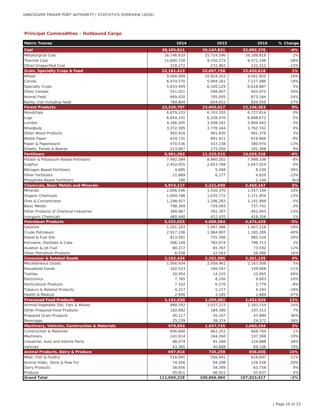#### **Principal Commodities - Outbound Cargo**

| <b>Metric Tonnes</b>                          | 2014               | 2015               | 2016               | % Change    |
|-----------------------------------------------|--------------------|--------------------|--------------------|-------------|
| Coal                                          | 38,105,611         | 35, 147, 831       | 32,992,276         | $-6%$       |
| Metallurgical Coal                            | 26,146,619         | 25,724,596         | 26,188,818         | 2%          |
| <b>Thermal Coal</b>                           | 11,640,720         | 9,150,273          | 6,571,146          | $-28%$      |
| Other/Unspecified Coal                        | 318,272            | 272,962            | 232,312            | $-15%$      |
| <b>Grain, Specialty Crops &amp; Feed</b>      | 23, 181, 413       | 25,097,758         | 25,450,818         | 1%          |
| Wheat                                         | 9,068,099          | 10,824,203         | 9,041,655          | $-16%$      |
| Canola                                        | 6,474,570          | 5,994,161          | 7,127,486          | 19%         |
| <b>Specialty Crops</b>                        | 5,633,499          | 6,320,129          | 6,618,887          | 5%          |
| <b>Other Cereals</b>                          | 551,021            | 599,607            | 955,075            | 59%         |
| Animal Feed                                   | 669,420            | 705,005            | 873,164            | 24%         |
| Barley (not including feed)                   | 784,804            | 654,652            | 834,550            | 27%         |
| <b>Forest Products</b>                        | 23,326,797         | 23,045,017         | 23, 146, 383       | 0%          |
| Woodchips                                     | 6,879,233          | 6,743,193          | 6,727,814          | 0%          |
| Logs                                          | 6,654,101          | 6,328,970          | 6,668,072          | 5%          |
| Lumber                                        | 4,166,305          | 3,938,181          | 3,804,042          | $-3%$<br>0% |
| Woodpulp<br>Other Wood Products               | 3,372,305          | 3,778,344          | 3,762,742          | 3%          |
| <b>Waste Paper</b>                            | 950,918<br>619,731 | 961,830<br>681,911 | 991,378<br>619,966 | $-9%$       |
| Paper & Paperboard                            | 470,536            | 437,238            | 380,970            | $-13%$      |
| Sheets, Panels & Boards                       | 213,667            | 175,350            | 191,398            | 9%          |
| <b>Fertilizers</b>                            | 9,961,393          | 11,325,515         | 10,659,326         | $-6%$       |
| Potash & Potassium-Based Fertilizers          | 7,492,584          | 8,660,202          | 7,998,108          | $-8%$       |
| Sulphur                                       | 2,452,055          | 2,653,768          | 2,647,024          | 0%          |
| Nitrogen-Based Fertilizers                    | 4,685              | 5,268              | 8,230              | 56%         |
| <b>Other Fertilizers</b>                      | 11,889             | 6,277              | 4,820              | $-23%$      |
| Phosphate-Based Fertilizers                   | 180                |                    | 1,144              | N/A         |
| <b>Chemicals, Basic Metals and Minerals</b>   | 5,974,117          | 5,221,699          | 5,469,167          | 5%          |
| <b>Minerals</b>                               | 2,006,546          | 1,416,370          | 1,557,164          | 10%         |
| Organic Chemicals                             | 1,009,768          | 1,035,772          | 1,171,954          | 13%         |
| Ores & Concentrates                           | 1,298,927          | 1,206,263          | 1,141,909          | $-5%$       |
| <b>Basic Metals</b>                           | 798,369            | 759,093            | 737,741            | $-3%$       |
| Other Products of Chemical Industries         | 380,067            | 391,767            | 442,043            | 13%         |
| Inorganic Chemicals                           | 480,440            | 412,435            | 418,356            | 1%          |
| <b>Petroleum Products</b>                     | 5,525,025          | 4,689,084          | 4,474,429          | $-5%$       |
| Gasoline                                      | 1,201,183          | 1,097,386          | 1,407,216          | 28%         |
| Crude Petroleum                               | 2,917,336          | 1,964,997          | 1,185,289          | $-40%$      |
| Diesel & Fuel Oils                            | 813,581            | 755,396            | 985,534            | 30%         |
| Kerosene, Distillate & Coke                   | 506,149            | 782,974            | 796,713            | 2%          |
| Aviation & Jet Fuel                           | 80,217             | 65,767             | 73,592             | 12%         |
| Other Petroleum Products                      | 6,558              | 22,563             | 26,086             | 16%         |
| <b>Consumer &amp; Related Goods</b>           | 2,162,434          | 2,261,995          | 2,361,145          | 4%          |
| Miscellaneous Goods                           | 1,956,934          | 2,058,461          | 2,167,508          | 5%          |
| <b>Household Goods</b>                        | 162,523            | 166,597            | 149,068            | $-11%$      |
| <b>Textiles</b>                               | 20,954             | 14,155             | 23,905             | 69%         |
| Electronics                                   | 7,765              | 8,200              | 9,003              | 10%         |
| <b>Horticultural Products</b>                 | 7,102              | 6,270              | 5,779              | $-8%$       |
| Tobacco & Related Products                    | 4,217              | 5,127              | 4,193              | $-18%$      |
| Health & Medical                              | 2,940              | 3,185              | 1,689              | $-47%$      |
| <b>Processed Food Products</b>                | 1,141,630          | 1,295,082          | 1,452,929          | 12%         |
| Animal/Vegetable Oils, Fats & Waxes           | 888,592            | 1,037,215          | 1,183,154          | 14%         |
| Other Prepared Food Products                  | 182,682            | 184,386            | 197,313            | 7%          |
| Prepared Grain Products                       | 45,117             | 35,107             | 47,890             | 36%         |
| Beverages                                     | 25,239             | 38,374             | 24,572             | $-36%$      |
| Machinery, Vehicles, Construction & Materials | 979,893            | 1,037,745          | 1,060,294          | 2%          |
| <b>Construction &amp; Materials</b>           | 606,840            | 661,251            | 668,704            | 1%          |
| Machinery                                     | 241,614            | 244,260            | 197,596            | $-19%$      |
| Industrial, Auto and Vehicle Parts            | 88,074             | 91,566             | 124,888            | 36%         |
| Vehicles                                      | 43,365             | 40,668             | 69,106             | 70%         |
| Animal Products, Dairy & Produce              | 697,914            | 745,259            | 856,650            | 15%         |
| Meat, Fish & Poultry                          | 518,991            | 556,641            | 618,697            | 11%         |
| Animal Hides, Skins & Raw Fur                 | 74,356             | 84,298             | 126,558            | 50%<br>9%   |
| Dairy Products<br>Produce                     | 58,656<br>45,911   | 58,309<br>46,011   | 63,758<br>47,637   | $4\%$       |
| <b>Grand Total</b>                            | 111,056,228        | 109,866,984        | 107,923,417        | $-2%$       |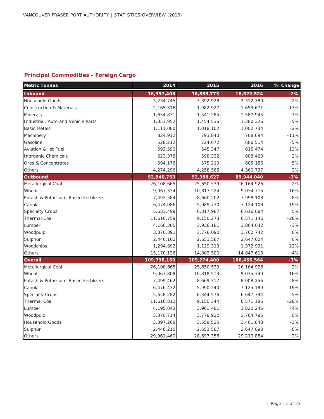## **Principal Commodities - Foreign Cargo**

| <b>Metric Tonnes</b>                 | 2014        | 2015        | 2016         | % Change |
|--------------------------------------|-------------|-------------|--------------|----------|
| <b>Inbound</b>                       | 16,957,408  | 16,885,773  | 16,522,524   | $-2%$    |
| <b>Household Goods</b>               | 3,234,745   | 3,392,928   | 3,312,780    | $-2%$    |
| <b>Construction &amp; Materials</b>  | 2,165,316   | 1,982,927   | 1,653,671    | $-17%$   |
| <b>Minerals</b>                      | 1,654,831   | 1,541,285   | 1,587,945    | 3%       |
| Industrial, Auto and Vehicle Parts   | 1,353,952   | 1,454,536   | 1,380,326    | $-5%$    |
| <b>Basic Metals</b>                  | 1,111,000   | 1,018,102   | 1,002,734    | $-2%$    |
| Machinery                            | 824,912     | 793,840     | 708,694      | $-11%$   |
| Gasoline                             | 528,212     | 724,672     | 686,514      | $-5%$    |
| Aviation & Jet Fuel                  | 592,590     | 545,347     | 615,474      | 13%      |
| <b>Inorganic Chemicals</b>           | 623,378     | 598,332     | 608,463      | 2%       |
| Ores & Concentrates                  | 594,176     | 575,219     | 605,186      | 5%       |
| Others                               | 4,274,296   | 4,258,585   | 4,360,737    | 2%       |
| Outbound                             | 92,840,753  | 92,388,627  | 89,944,040   | $-3%$    |
| Metallurgical Coal                   | 26,108,665  | 25,650,539  | 26, 164, 926 | 2%       |
| Wheat                                | 9,067,334   | 10,817,224  | 9,034,715    | $-16%$   |
| Potash & Potassium-Based Fertilizers | 7,492,584   | 8,660,202   | 7,998,108    | $-8%$    |
| Canola                               | 6,474,086   | 5,989,730   | 7,124,108    | 19%      |
| <b>Specialty Crops</b>               | 5,633,499   | 6,317,987   | 6,616,684    | 5%       |
| <b>Thermal Coal</b>                  | 11,616,759  | 9,150,273   | 6,571,146    | $-28%$   |
| Lumber                               | 4,166,305   | 3,938,181   | 3,804,042    | $-3%$    |
| Woodpulp                             | 3,370,391   | 3,778,090   | 3,762,742    | $0\%$    |
| Sulphur                              | 2,446,102   | 2,653,587   | 2,647,024    | 0%       |
| Woodchips                            | 1,294,892   | 1,129,313   | 1,372,931    | 22%      |
| Others                               | 15,170,136  | 14,303,500  | 14,847,613   | 4%       |
| <b>Overall</b>                       | 109,798,160 | 109,274,400 | 106,466,564  | $-3%$    |
| Metallurgical Coal                   | 26,108,665  | 25,650,539  | 26, 164, 926 | 2%       |
| Wheat                                | 9,067,808   | 10,818,513  | 9,035,349    | $-16%$   |
| Potash & Potassium-Based Fertilizers | 7,499,462   | 8,669,317   | 8,008,256    | $-8%$    |
| Canola                               | 6,476,432   | 5,990,240   | 7,125,189    | 19%      |
| <b>Specialty Crops</b>               | 5,658,282   | 6,344,576   | 6,647,794    | 5%       |
| <b>Thermal Coal</b>                  | 11,616,812  | 9,150,344   | 6,571,186    | $-28%$   |
| Lumber                               | 4,195,043   | 3,961,481   | 3,820,245    | $-4%$    |
| Woodpulp                             | 3,370,714   | 3,778,922   | 3,764,795    | 0%       |
| <b>Household Goods</b>               | 3,397,268   | 3,559,525   | 3,461,848    | $-3%$    |
| Sulphur                              | 2,446,215   | 2,653,587   | 2,647,090    | $0\%$    |
| Others                               | 29,961,460  | 28,697,356  | 29,219,884   | 2%       |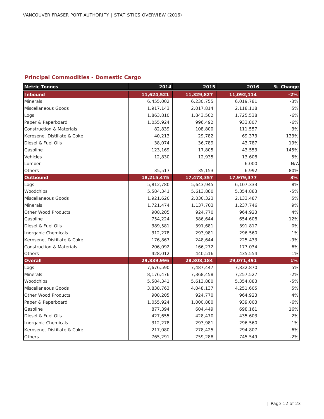## **Principal Commodities - Domestic Cargo**

| <b>Metric Tonnes</b>                | 2014       | 2015       | 2016       | % Change |
|-------------------------------------|------------|------------|------------|----------|
| <b>Inbound</b>                      | 11,624,521 | 11,329,827 | 11,092,114 | $-2%$    |
| <b>Minerals</b>                     | 6,455,002  | 6,230,755  | 6,019,781  | $-3%$    |
| Miscellaneous Goods                 | 1,917,143  | 2,017,814  | 2,118,118  | 5%       |
| Logs                                | 1,863,810  | 1,843,502  | 1,725,538  | $-6%$    |
| Paper & Paperboard                  | 1,055,924  | 996,492    | 933,807    | $-6%$    |
| <b>Construction &amp; Materials</b> | 82,839     | 108,800    | 111,557    | 3%       |
| Kerosene, Distillate & Coke         | 40,213     | 29,782     | 69,373     | 133%     |
| Diesel & Fuel Oils                  | 38,074     | 36,789     | 43,787     | 19%      |
| Gasoline                            | 123,169    | 17,805     | 43,553     | 145%     |
| Vehicles                            | 12,830     | 12,935     | 13,608     | 5%       |
| Lumber                              |            |            | 6,000      | N/A      |
| Others                              | 35,517     | 35,153     | 6,992      | $-80%$   |
| <b>Outbound</b>                     | 18,215,475 | 17,478,357 | 17,979,377 | 3%       |
| Logs                                | 5,812,780  | 5,643,945  | 6,107,333  | 8%       |
| Woodchips                           | 5,584,341  | 5,613,880  | 5,354,883  | $-5%$    |
| Miscellaneous Goods                 | 1,921,620  | 2,030,323  | 2,133,487  | 5%       |
| <b>Minerals</b>                     | 1,721,474  | 1,137,703  | 1,237,746  | 9%       |
| Other Wood Products                 | 908,205    | 924,770    | 964,923    | 4%       |
| Gasoline                            | 754,224    | 586,644    | 654,608    | 12%      |
| Diesel & Fuel Oils                  | 389,581    | 391,681    | 391,817    | 0%       |
| Inorganic Chemicals                 | 312,278    | 293,981    | 296,560    | 1%       |
| Kerosene, Distillate & Coke         | 176,867    | 248,644    | 225,433    | $-9%$    |
| <b>Construction &amp; Materials</b> | 206,092    | 166,272    | 177,034    | 6%       |
| Others                              | 428,012    | 440,516    | 435,554    | $-1%$    |
| <b>Overall</b>                      | 29,839,996 | 28,808,184 | 29,071,491 | 1%       |
| Logs                                | 7,676,590  | 7,487,447  | 7,832,870  | 5%       |
| <b>Minerals</b>                     | 8,176,476  | 7,368,458  | 7,257,527  | $-2%$    |
| Woodchips                           | 5,584,341  | 5,613,880  | 5,354,883  | $-5%$    |
| Miscellaneous Goods                 | 3,838,763  | 4,048,137  | 4,251,605  | 5%       |
| Other Wood Products                 | 908,205    | 924,770    | 964,923    | 4%       |
| Paper & Paperboard                  | 1,055,924  | 1,000,880  | 939,003    | $-6%$    |
| Gasoline                            | 877,394    | 604,449    | 698,161    | 16%      |
| Diesel & Fuel Oils                  | 427,655    | 428,470    | 435,603    | 2%       |
| <b>Inorganic Chemicals</b>          | 312,278    | 293,981    | 296,560    | 1%       |
| Kerosene, Distillate & Coke         | 217,080    | 278,425    | 294,807    | 6%       |
| <b>Others</b>                       | 765,291    | 759,288    | 745,549    | $-2%$    |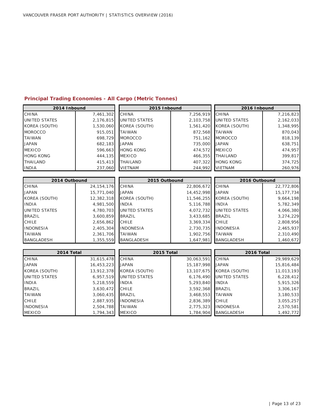#### **Principal Trading Economies - All Cargo (Metric Tonnes)**

| 2014 Inbound         |              | 2015 Inbound         |                 | 2016 Inbound             |              |
|----------------------|--------------|----------------------|-----------------|--------------------------|--------------|
| CHINA                | 7,461,302    | <b>CHINA</b>         | 7,256,919       | <b>CHINA</b>             | 7,216,823    |
| <b>UNITED STATES</b> | 2,176,815    | <b>UNITED STATES</b> | 2,103,758       | <b>UNITED STATES</b>     | 2,162,033    |
| KOREA (SOUTH)        | 1,530,060    | KOREA (SOUTH)        | 1,561,420       | KOREA (SOUTH)            | 1,348,995    |
| <b>MOROCCO</b>       | 915,051      | <b>TAIWAN</b>        | 872,568         | <b>TAIWAN</b>            | 870,043      |
| <b>TAIWAN</b>        | 698,729      | <b>MOROCCO</b>       | 751,162         | <b>MOROCCO</b>           | 818,139      |
| <b>JAPAN</b>         | 682,183      | <b>JAPAN</b>         | 735,000         | <b>JAPAN</b>             | 638,751      |
| <b>MEXICO</b>        | 596,663      | <b>HONG KONG</b>     | 474,572         | <b>MEXICO</b>            | 474,957      |
| <b>HONG KONG</b>     | 444,135      | <b>MEXICO</b>        |                 | 466,355 THAILAND         | 399,817      |
| <b>THAILAND</b>      | 415,413      | <b>THAILAND</b>      | 407,322         | <b>HONG KONG</b>         | 374,725      |
| <b>INDIA</b>         | 237,060      | <b>VIETNAM</b>       | 244,992         | <b>VIETNAM</b>           | 260,976      |
|                      |              |                      |                 |                          |              |
| 2014 Outbound        |              | 2015 Outbound        |                 | 2016 Outbound            |              |
| CHINA                | 24, 154, 176 | CHINA                | 22,806,672      | <b>CHINA</b>             | 22,772,806   |
| <b>JAPAN</b>         | 15,771,040   | <b>JAPAN</b>         | 14,452,998      | <b>JAPAN</b>             | 15, 177, 734 |
| KOREA (SOUTH)        | 12,382,318   | KOREA (SOUTH)        | 11,546,255      | KOREA (SOUTH)            | 9,664,198    |
| <b>INDIA</b>         | 4,981,500    | <b>INDIA</b>         | 5,116,788       | <b>INDIA</b>             | 5,782,349    |
| <b>UNITED STATES</b> | 4,780,703    | <b>UNITED STATES</b> | 4,072,732       | UNITED STATES            | 4,066,380    |
| <b>BRAZIL</b>        | 3,600,859    | <b>BRAZIL</b>        | 3,433,685       | <b>BRAZIL</b>            | 3,274,229    |
| <b>CHILE</b>         | 2,656,862    | CHILE                | 3,369,334       | <b>CHILE</b>             | 2,808,956    |
| <b>INDONESIA</b>     | 2,405,304    | <b>INDONESIA</b>     | 2,730,735       | <b>INDONESIA</b>         | 2,465,937    |
| <b>TAIWAN</b>        | 2,361,706    | <b>TAIWAN</b>        | 1,902,756       | <b>TAIWAN</b>            | 2,310,490    |
| <b>BANGLADESH</b>    | 1,355,559    | <b>BANGLADESH</b>    | 1,647,981       | <b>BANGLADESH</b>        | 1,460,672    |
|                      |              |                      |                 |                          |              |
| 2014 Total           |              | 2015 Total           |                 | 2016 Total               |              |
| CHINA                | 31,615,478   | <b>CHINA</b>         | 30,063,591      | <b>CHINA</b>             | 29,989,629   |
| <b>JAPAN</b>         | 16,453,223   | <b>JAPAN</b>         | 15,187,998      | <b>JAPAN</b>             | 15,816,484   |
| KOREA (SOUTH)        | 13,912,378   | KOREA (SOUTH)        |                 | 13,107,675 KOREA (SOUTH) | 11,013,193   |
| <b>UNITED STATES</b> | 6,957,519    | <b>UNITED STATES</b> | 6,176,490       | <b>UNITED STATES</b>     | 6,228,412    |
| <b>INDIA</b>         | 5,218,559    | <b>INDIA</b>         | 5,293,840       | <b>INDIA</b>             | 5,915,326    |
| <b>BRAZIL</b>        | 3,630,472    | <b>CHILE</b>         | 3,592,368       | <b>BRAZIL</b>            | 3,306,167    |
| <b>TAIWAN</b>        | 3,060,435    | <b>BRAZIL</b>        | 3,468,553       | <b>TAIWAN</b>            | 3,180,533    |
| <b>CHILE</b>         | 2,887,935    | <b>INDONESIA</b>     | 2,836,389 CHILE |                          | 3,055,257    |

INDONESIA 2,504,788 TAIWAN 2,775,323 INDONESIA 2,570,581 MEXICO 1,794,343 MEXICO 1,784,904 BANGLADESH 1,492,772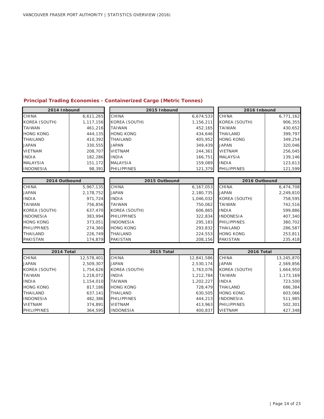#### **Principal Trading Economies - Containerized Cargo (Metric Tonnes)**

| 2014 Inbound         |            | 2015 Inbound       | 2016 Inbound |                    |            |
|----------------------|------------|--------------------|--------------|--------------------|------------|
| <b>CHINA</b>         | 6,611,265  | <b>CHINA</b>       | 6,674,533    | <b>CHINA</b>       | 6,771,162  |
| <b>KOREA (SOUTH)</b> | 1,117,156  | KOREA (SOUTH)      | 1,156,211    | KOREA (SOUTH)      | 906,355    |
| <b>TAIWAN</b>        | 461,216    | <b>TAIWAN</b>      | 452,165      | <b>TAIWAN</b>      | 430,652    |
| <b>HONG KONG</b>     | 444,135    | <b>HONG KONG</b>   | 434,646      | <b>THAILAND</b>    | 399,797    |
| <b>THAILAND</b>      | 410,392    | <b>THAILAND</b>    | 405,952      | <b>HONG KONG</b>   | 349,254    |
| <b>JAPAN</b>         | 330,555    | <b>JAPAN</b>       | 349,439      | <b>JAPAN</b>       | 320,046    |
| <b>VIETNAM</b>       | 208,707    | <b>VIETNAM</b>     | 244,361      | <b>VIETNAM</b>     | 256,045    |
| <b>INDIA</b>         | 182,286    | <b>INDIA</b>       | 166,751      | <b>MALAYSIA</b>    | 139,146    |
| <b>MALAYSIA</b>      | 151,172    | <b>MALAYSIA</b>    | 159,089      | <b>INDIA</b>       | 123,613    |
| <b>INDONESIA</b>     | 98,391     | <b>PHILIPPINES</b> | 121,379      | <b>PHILIPPINES</b> | 121,599    |
|                      |            |                    |              |                    |            |
| 2014 Outbound        |            | 2015 Outbound      |              | 2016 Outbound      |            |
| <b>CHINA</b>         | 5,967,135  | <b>CHINA</b>       | 6,167,053    | <b>CHINA</b>       | 6,474,708  |
| <b>JAPAN</b>         | 2,178,752  | <b>JAPAN</b>       | 2,180,735    | <b>JAPAN</b>       | 2,249,810  |
| <b>INDIA</b>         | 971,724    | <b>INDIA</b>       | 1,046,032    | KOREA (SOUTH)      | 758,595    |
| <b>TAIWAN</b>        | 756,856    | <b>TAIWAN</b>      | 750,062      | <b>TAIWAN</b>      | 742,516    |
| <b>KOREA (SOUTH)</b> | 637,470    | KOREA (SOUTH)      | 606,865      | <b>INDIA</b>       | 599,886    |
| <b>INDONESIA</b>     | 383,994    | <b>PHILIPPINES</b> | 322,834      | <b>INDONESIA</b>   | 407,340    |
| <b>HONG KONG</b>     | 373,051    | <b>INDONESIA</b>   | 295,183      | <b>PHILIPPINES</b> | 380,702    |
| <b>PHILIPPINES</b>   | 274,360    | <b>HONG KONG</b>   | 293,832      | <b>THAILAND</b>    | 286,587    |
| <b>THAILAND</b>      | 226,749    | <b>THAILAND</b>    | 224,553      | <b>HONG KONG</b>   | 253,811    |
| <b>PAKISTAN</b>      | 174,879    | <b>PAKISTAN</b>    | 208,156      | <b>PAKISTAN</b>    | 235,418    |
|                      |            |                    |              |                    |            |
| 2014 Total           |            | 2015 Total         |              | 2016 Total         |            |
| CHINA                | 12,578,401 | CHINA              | 12,841,586   | <b>CHINA</b>       | 13,245,870 |
| <b>JAPAN</b>         | 2,509,307  | <b>JAPAN</b>       | 2,530,174    | <b>JAPAN</b>       | 2,569,856  |
| KOREA (SOUTH)        | 1,754,626  | KOREA (SOUTH)      | 1,763,076    | KOREA (SOUTH)      | 1,664,950  |
| <b>TAIWAN</b>        | 1,218,072  | <b>INDIA</b>       | 1,212,784    | <b>TAIWAN</b>      | 1,173,169  |
| <b>INDIA</b>         | 1,154,010  | <b>TAIWAN</b>      | 1,202,227    | <b>INDIA</b>       | 723,500    |
| <b>HONG KONG</b>     | 817,186    | <b>HONG KONG</b>   | 728,479      | <b>THAILAND</b>    | 686,384    |
| <b>THAILAND</b>      | 637,141    | <b>THAILAND</b>    | 630,505      | <b>HONG KONG</b>   | 603,066    |

INDONESIA 482,386 PHILIPPINES 444,213 INDONESIA 511,985 VIETNAM 374,891 VIETNAM 413,963 PHILIPPINES 502,301 PHILIPPINES | 364,595 |INDONESIA | 400,837 |VIETNAM | 427,348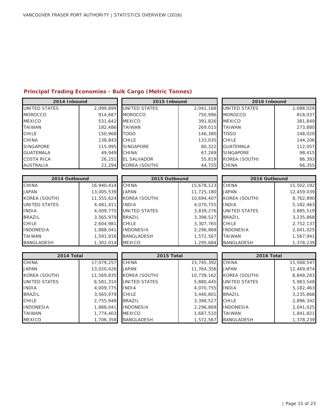## **Principal Trading Economies - Bulk Cargo (Metric Tonnes)**

| 2014 Inbound      |           | 2015 Inbound       |           | 2016 Inbound         |           |  |
|-------------------|-----------|--------------------|-----------|----------------------|-----------|--|
| UNITED STATES     | 2,099,899 | UNITED STATES      | 2,041,168 | UNITED STATES        | 2,098,029 |  |
| <b>MOROCCO</b>    | 914.687   | <b>MOROCCO</b>     | 750,996   | <b>MOROCCO</b>       | 818,037   |  |
| <b>MEXICO</b>     | 531,642   | <b>MEXICO</b>      | 391,826   | <b>MEXICO</b>        | 381,849   |  |
| <b>TAIWAN</b>     | 182,486   | <b>TAIWAN</b>      | 269,015   | <b>TAIWAN</b>        | 273,880   |  |
| <b>CHILE</b>      | 150,968   | <b>TOGO</b>        | 146,380   | <b>TOGO</b>          | 148,020   |  |
| <b>CHINA</b>      | 138,843   | <b>CHILE</b>       | 133,035   | <b>CHILE</b>         | 144,206   |  |
| <b>SINGAPORE</b>  | 115,995   | <b>SINGAPORE</b>   | 80,322    | <b>GUATEMALA</b>     | 112,057   |  |
| <b>GUATEMALA</b>  | 49.949    | <b>CHINA</b>       | 67,269    | <b>SINGAPORE</b>     | 98,415    |  |
| <b>COSTA RICA</b> | 26,251    | <b>EL SALVADOR</b> | 55,819    | <b>KOREA (SOUTH)</b> | 86,393    |  |
| <b>AUSTRALIA</b>  | 21,294    | KOREA (SOUTH)      | 44,755    | <b>CHINA</b>         | 66,355    |  |
|                   |           |                    |           |                      |           |  |
| 2014 Outbound     |           | 2015 Outbound      |           | 2016 Outbound        |           |  |

| 2014 Outbound     |            | 2015 Outbound     |            | 2016 Outbound     |            |
|-------------------|------------|-------------------|------------|-------------------|------------|
| <b>CHINA</b>      | 16,940,414 | <b>CHINA</b>      | 15,678,123 | <b>CHINA</b>      | 15,502,192 |
| <b>JAPAN</b>      | 13,005,539 | <b>JAPAN</b>      | 11,725,180 | <b>JAPAN</b>      | 12,459,039 |
| KOREA (SOUTH)     | 11,555,624 | KOREA (SOUTH)     | 10,694,407 | KOREA (SOUTH)     | 8,762,890  |
| UNITED STATES     | 4,481,411  | <b>INDIA</b>      | 4,070,755  | <b>INDIA</b>      | 5,182,463  |
| <b>INDIA</b>      | 4,009,775  | UNITED STATES     | 3,839,276  | UNITED STATES     | 3,885,519  |
| <b>BRAZIL</b>     | 3,565,979  | <b>BRAZIL</b>     | 3,398,527  | <b>BRAZIL</b>     | 3,235,868  |
| <b>CHILE</b>      | 2,604,981  | <b>CHILE</b>      | 3,307,765  | <b>CHILE</b>      | 2,752,137  |
| <b>INDONESIA</b>  | 1,888,041  | <b>INDONESIA</b>  | 2,296,869  | <b>INDONESIA</b>  | 2,041,025  |
| <b>TAIWAN</b>     | 1,591,916  | <b>BANGLADESH</b> | 1,572,567  | <b>TAIWAN</b>     | 1,567,941  |
| <b>BANGLADESH</b> | 1,302,014  | <b>MEXICO</b>     | 1,295,684  | <b>BANGLADESH</b> | 1,378,239  |

| 2015 Outbound        |            |
|----------------------|------------|
| <b>CHINA</b>         | 15,678,123 |
| <b>JAPAN</b>         | 11,725,180 |
| KOREA (SOUTH)        | 10,694,407 |
| <b>INDIA</b>         | 4,070,755  |
| <b>UNITED STATES</b> | 3,839,276  |
| <b>BRAZIL</b>        | 3,398,527  |
| CHILE                | 3,307,765  |
| <b>INDONESIA</b>     | 2,296,869  |
| <b>BANGLADESH</b>    | 1,572,567  |
| MEXICO               | 1,295,684  |

| 2016 Outbound        |            |  |  |  |  |
|----------------------|------------|--|--|--|--|
| CHINA                | 15,502,192 |  |  |  |  |
| <b>JAPAN</b>         | 12,459,039 |  |  |  |  |
| KOREA (SOUTH)        | 8.762.890  |  |  |  |  |
| <b>INDIA</b>         | 5,182,463  |  |  |  |  |
| <b>UNITED STATES</b> | 3,885,519  |  |  |  |  |
| <b>BRAZIL</b>        | 3,235,868  |  |  |  |  |
| CHILE                | 2,752,137  |  |  |  |  |
| <b>INDONESIA</b>     | 2.041.025  |  |  |  |  |
| <b>TAIWAN</b>        | 1,567,941  |  |  |  |  |
| BANGLADESH           | 1,378,239  |  |  |  |  |

| 2014 Total       |            | 2015 Total           |            | 2016 Total        |            |
|------------------|------------|----------------------|------------|-------------------|------------|
| <b>CHINA</b>     | 17,079,257 | <b>CHINA</b>         | 15,745,392 | <b>CHINA</b>      | 15,568,547 |
| <b>JAPAN</b>     | 13,020,426 | <b>JAPAN</b>         | 11,764,356 | <b>JAPAN</b>      | 12,469,874 |
| KOREA (SOUTH)    | 11,569,835 | KOREA (SOUTH)        | 10,739,162 | KOREA (SOUTH)     | 8,849,283  |
| UNITED STATES    | 6,581,310  | <b>UNITED STATES</b> | 5,880,445  | UNITED STATES     | 5,983,548  |
| <b>INDIA</b>     | 4,009,775  | <b>INDIA</b>         | 4,070,755  | <b>INDIA</b>      | 5,182,463  |
| <b>BRAZIL</b>    | 3,565,979  | <b>CHILE</b>         | 3,440,801  | <b>BRAZIL</b>     | 3,235,868  |
| <b>CHILE</b>     | 2,755,948  | <b>BRAZIL</b>        | 3,398,527  | <b>CHILE</b>      | 2,896,342  |
| <b>INDONESIA</b> | 1,888,041  | <b>INDONESIA</b>     | 2,296,869  | <b>INDONESIA</b>  | 2,041,025  |
| <b>TAIWAN</b>    | 1,774,403  | <b>MEXICO</b>        | 1,687,510  | <b>TAIWAN</b>     | 1,841,821  |
| <b>MEXICO</b>    | 1,706,358  | <b>BANGLADESH</b>    | 1,572,567  | <b>BANGLADESH</b> | 1,378,239  |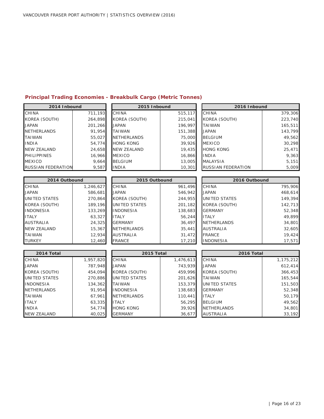## **Principal Trading Economies - Breakbulk Cargo (Metric Tonnes)**

| 2014 Inbound              |           | 2015 Inbound         |           | 2016 Inbound         |           |
|---------------------------|-----------|----------------------|-----------|----------------------|-----------|
| <b>CHINA</b>              | 711,193   | <b>CHINA</b>         | 515,117   | CHINA                | 379,306   |
| KOREA (SOUTH)             | 264,898   | KOREA (SOUTH)        | 215,041   | KOREA (SOUTH)        | 223,740   |
| <b>JAPAN</b>              | 201,266   | <b>JAPAN</b>         | 196,997   | <b>TAIWAN</b>        | 165,511   |
| <b>NETHERLANDS</b>        | 91,954    | <b>TAIWAN</b>        | 151,388   | <b>JAPAN</b>         | 143,799   |
| <b>TAIWAN</b>             | 55,027    | <b>NETHERLANDS</b>   | 75,000    | <b>BELGIUM</b>       | 49,562    |
| <b>INDIA</b>              | 54,774    | <b>HONG KONG</b>     | 39,926    | <b>MEXICO</b>        | 30,298    |
| <b>NEW ZEALAND</b>        | 24,658    | <b>NEW ZEALAND</b>   | 19,435    | <b>HONG KONG</b>     | 25,471    |
| <b>PHILIPPINES</b>        | 16,966    | <b>MEXICO</b>        | 16,866    | <b>INDIA</b>         | 9,363     |
| <b>MEXICO</b>             | 9,664     | <b>BELGIUM</b>       | 13,005    | <b>MALAYSIA</b>      | 5,151     |
| <b>RUSSIAN FEDERATION</b> | 9,587     | <b>INDIA</b>         | 10,301    | RUSSIAN FEDERATION   | 5,009     |
|                           |           |                      |           |                      |           |
| 2014 Outbound             |           | 2015 Outbound        |           | 2016 Outbound        |           |
| <b>CHINA</b>              | 1,246,627 | <b>CHINA</b>         | 961,496   | <b>CHINA</b>         | 795,906   |
| <b>JAPAN</b>              | 586,681   | <b>JAPAN</b>         | 546,942   | <b>JAPAN</b>         | 468,614   |
| <b>UNITED STATES</b>      | 270,864   | KOREA (SOUTH)        | 244,955   | <b>UNITED STATES</b> | 149,394   |
| KOREA (SOUTH)             | 189,196   | <b>UNITED STATES</b> | 201,182   | KOREA (SOUTH)        | 142,713   |
| <b>INDONESIA</b>          | 133,269   | <b>INDONESIA</b>     | 138,683   | <b>GERMANY</b>       | 52,348    |
| <b>ITALY</b>              | 63,327    | <b>ITALY</b>         | 56,244    | <b>ITALY</b>         | 49,899    |
| <b>AUSTRALIA</b>          | 24,325    | <b>GERMANY</b>       | 36,497    | <b>NETHERLANDS</b>   | 34,801    |
| <b>NEW ZEALAND</b>        | 15,367    | <b>NETHERLANDS</b>   | 35,441    | <b>AUSTRALIA</b>     | 32,605    |
| <b>TAIWAN</b>             | 12,934    | <b>AUSTRALIA</b>     | 31,472    | <b>FRANCE</b>        | 19,424    |
| <b>TURKEY</b>             | 12,460    | <b>FRANCE</b>        | 17,210    | <b>INDONESIA</b>     | 17,571    |
|                           |           |                      |           |                      |           |
| 2014 Total                |           | 2015 Total           |           | 2016 Total           |           |
| <b>CHINA</b>              | 1,957,820 | <b>CHINA</b>         | 1,476,613 | CHINA                | 1,175,212 |
| <b>JAPAN</b>              | 787,948   | <b>JAPAN</b>         | 743,939   | <b>JAPAN</b>         | 612,414   |
| KOREA (SOUTH)             | 454,094   | KOREA (SOUTH)        | 459,996   | KOREA (SOUTH)        | 366,453   |
| <b>UNITED STATES</b>      | 270,886   | <b>UNITED STATES</b> | 201,626   | <b>TAIWAN</b>        | 165,544   |
| <b>INDONESIA</b>          | 134,362   | <b>TAIWAN</b>        | 153,379   | <b>UNITED STATES</b> | 151,503   |
| <b>NETHERLANDS</b>        | 91,954    | <b>INDONESIA</b>     | 138,683   | <b>GERMANY</b>       | 52,348    |
| <b>TAIWAN</b>             | 67,961    | <b>NETHERLANDS</b>   | 110,441   | <b>ITALY</b>         | 50,179    |
| <b>ITALY</b>              | 63,335    | <b>ITALY</b>         | 56,295    | <b>BELGIUM</b>       | 49,562    |
| <b>INDIA</b>              | 54,774    | <b>HONG KONG</b>     | 39,926    | <b>NETHERLANDS</b>   | 34,801    |
| <b>NEW ZEALAND</b>        | 40,025    | <b>GERMANY</b>       | 36,677    | <b>AUSTRALIA</b>     | 33,192    |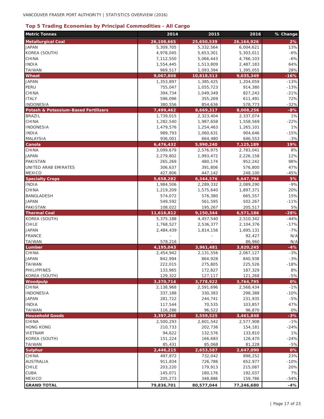## **Top 5 Trading Economies by Principal Commodities - All Cargo**

| <b>Metric Tonnes</b>                 | 2014                   | 2015                   | 2016                   | % Change       |
|--------------------------------------|------------------------|------------------------|------------------------|----------------|
| <b>Metallurgical Coal</b>            | 26,108,665             | 25,650,539             | 26, 164, 926           | 2%             |
| <b>JAPAN</b>                         | 5,309,705              | 5,332,564              | 6,004,621              | 13%            |
| KOREA (SOUTH)                        | 4,978,045              | 5,653,301              | 5,303,011              | $-6%$          |
| CHINA                                | 7,112,550              | 5,066,443              | 4,766,103              | $-6%$          |
| <b>INDIA</b>                         | 1,554,445              | 1,513,809              | 2,487,183              | 64%            |
| <b>TAIWAN</b>                        | 969,517                | 1,093,394              | 1,395,055              | 28%            |
| <b>Wheat</b>                         | 9,067,808              | 10,818,513             | 9,035,349              | $-16%$         |
| <b>JAPAN</b>                         | 1,353,897              | 1,385,425              | 1,204,059              | $-13%$         |
| PERU                                 | 755,047                | 1,055,723              | 914,380                | $-13%$         |
| <b>CHINA</b>                         | 394,734                | 1,049,349              | 827,243                | $-21%$         |
| <b>ITALY</b>                         | 596,096                | 355,269                | 611,491                | 72%            |
| <b>INDONESIA</b>                     | 380,556                | 854,636                | 578,773                | $-32%$         |
| Potash & Potassium-Based Fertilizers | 7,499,462              | 8,669,317              | 8,008,256              | $-8%$          |
| <b>BRAZIL</b><br>CHINA               | 1,739,015              | 2,323,404              | 2,337,074<br>1,558,569 | 1%<br>$-22%$   |
| <b>INDONESIA</b>                     | 1,282,540<br>1,479,576 | 1,987,658<br>1,254,463 | 1,265,101              | 1%             |
| <b>INDIA</b>                         | 989,793                | 1,060,631              | 904,646                | $-15%$         |
| <b>MALAYSIA</b>                      | 936,001                | 664,480                | 646,553                | $-3%$          |
| Canola                               | 6,476,432              | 5,990,240              | 7,125,189              | 19%            |
| CHINA                                | 3,099,679              | 2,576,975              | 2,783,041              | 8%             |
| <b>JAPAN</b>                         | 2,279,802              | 1,993,472              | 2,226,158              | 12%            |
| PAKISTAN                             | 265,269                | 480,174                | 952,242                | 98%            |
| UNITED ARAB EMIRATES                 | 306,637                | 391,806                | 576,800                | 47%            |
| <b>MEXICO</b>                        | 427,806                | 447,142                | 248,100                | $-45%$         |
| <b>Specialty Crops</b>               | 5,658,282              | 6,344,576              | 6,647,794              | 5%             |
| <b>INDIA</b>                         | 1,984,506              | 2,289,332              | 2,089,290              | $-9%$          |
| CHINA                                | 1,219,209              | 1,575,640              | 1,897,371              | 20%            |
| <b>BANGLADESH</b>                    | 574,072                | 576,380                | 665,557                | 15%            |
| <b>JAPAN</b>                         | 549,592                | 561,595                | 502,267                | $-11%$         |
| <b>PAKISTAN</b>                      | 108,022                | 195,267                | 205,517                | 5%             |
| <b>Thermal Coal</b>                  | 11,616,812             | 9,150,344              | 6,571,186              | $-28%$         |
| KOREA (SOUTH)                        | 5,375,188              | 4,457,540              | 2,510,342              | $-44%$         |
| <b>CHILE</b>                         | 1,768,527              | 2,536,377              | 2,104,376              | $-17%$         |
| <b>JAPAN</b>                         | 2,484,439              | 1,814,156              | 1,695,131              | $-7%$          |
| <b>FRANCE</b>                        |                        |                        | 92,427                 | N/A            |
| <b>TAIWAN</b>                        | 578,216                |                        | 86,960                 | N/A            |
| Lumber<br>CHINA                      | 4,195,043              | 3,961,481              | 3,820,245              | $-4%$<br>$-3%$ |
| <b>JAPAN</b>                         | 2,454,942<br>842,994   | 2,131,556<br>864,928   | 2,067,127<br>840,938   | $-3%$          |
| <b>TAIWAN</b>                        | 222,015                | 275,805                | 225,526                | $-18%$         |
| <b>PHILIPPINES</b>                   | 133,965                | 172,827                | 187,329                | 8%             |
| KOREA (SOUTH)                        | 129,322                | 127,117                | 121,268                | $-5%$          |
| Woodpulp                             | 3,370,714              | 3,778,922              | 3,764,795              | 0%             |
| CHINA                                | 2,138,968              | 2,591,696              | 2,568,434              | $-1%$          |
| <b>INDONESIA</b>                     | 337,188                | 330,383                | 298,388                | $-10%$         |
| <b>JAPAN</b>                         | 281,722                | 244,741                | 231,935                | $-5%$          |
| <b>INDIA</b>                         | 117,544                | 70,535                 | 103,857                | 47%            |
| <b>TAIWAN</b>                        | 116,286                | 96,522                 | 96,870                 | 0%             |
| <b>Household Goods</b>               | 3,397,268              | 3,559,525              | 3,461,848              | $-3%$          |
| <b>CHINA</b>                         | 2,500,293              | 2,601,542              | 2,577,908              | $-1%$          |
| <b>HONG KONG</b>                     | 210,733                | 202,736                | 154,181                | $-24%$         |
| <b>VIETNAM</b>                       | 94,622                 | 132,576                | 133,810                | 1%             |
| KOREA (SOUTH)                        | 151,224                | 166,683                | 126,470                | $-24%$         |
| <b>TAIWAN</b>                        | 85,431                 | 85,068                 | 81,228                 | $-5%$          |
| <b>Sulphur</b>                       | 2,446,215              | 2,653,587              | 2,647,090              | 0%             |
| CHINA                                | 497,872                | 732,042                | 898,252                | 23%            |
| <b>AUSTRALIA</b>                     | 911,834                | 726,786                | 652,977                | $-10%$         |
| CHILE                                | 203,220                | 179,913                | 215,087                | 20%            |
| <b>CUBA</b>                          | 145,071                | 180,176                | 192,037                | 7%             |
| <b>MEXICO</b>                        | 205,273                | 348,886                | 159,786                | $-54%$         |
| <b>GRAND TOTAL</b>                   | 79,836,701             | 80,577,044             | 77,246,680             | $-4%$          |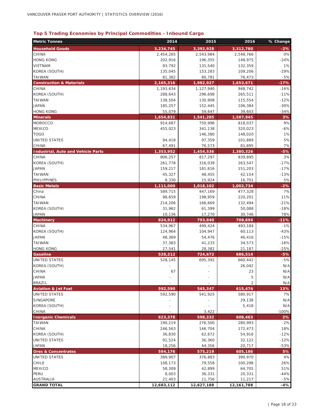## **Top 5 Trading Economies by Principal Commodities - Inbound Cargo**

| <b>Metric Tonnes</b>                      | 2014       | 2015       | 2016              | % Change     |
|-------------------------------------------|------------|------------|-------------------|--------------|
| <b>Household Goods</b>                    | 3,234,745  | 3,392,928  | 3,312,780         | $-2%$        |
| CHINA                                     | 2,454,265  | 2,543,984  | 2,548,766         | 0%           |
| <b>HONG KONG</b>                          | 202,916    | 196,355    | 148,975           | $-24%$       |
| VIETNAM                                   | 93,792     | 131,540    | 132,359           | 1%           |
| KOREA (SOUTH)                             | 135,045    | 153,283    | 109,206           | $-29%$       |
| TAIWAN                                    | 81,382     | 80,781     | 76,473            | $-5%$        |
| <b>Construction &amp; Materials</b>       | 2,165,316  | 1,982,927  | 1,653,671         | $-17%$       |
| CHINA                                     | 1,193,634  | 1,127,940  | 948,742           | $-16%$       |
| KOREA (SOUTH)                             | 288,643    | 296,698    | 265,511           | $-11%$       |
| <b>TAIWAN</b>                             | 138,504    | 130,908    | 115,554           | $-12%$       |
| <b>JAPAN</b>                              | 185,257    | 152,445    | 106,384           | $-30%$       |
| <b>HONG KONG</b>                          | 55,079     | 59,647     | 39,603            | $-34%$       |
| <b>Minerals</b>                           | 1,654,831  | 1,541,285  | 1,587,945         | 3%           |
| <b>MOROCCO</b>                            | 914,687    | 750,996    | 818,037           | 9%           |
| <b>MEXICO</b>                             | 455,023    | 341,138    | 320,023           | $-6%$        |
| <b>TOGO</b>                               |            | 146,380    | 148,020           | 1%           |
| UNITED STATES                             | 94,418     | 97,359     | 101,889           | 5%           |
| CHINA                                     | 67,491     | 76,573     | 81,895            | 7%           |
| <b>Industrial, Auto and Vehicle Parts</b> | 1,353,952  | 1,454,536  | 1,380,326         | $-5%$        |
| CHINA                                     | 806,257    | 817,297    | 839,895           | 3%           |
| KOREA (SOUTH)                             | 261,778    | 316,039    | 263,547           | $-17%$       |
| <b>JAPAN</b>                              | 159,217    | 181,616    | 151,203           | $-17%$       |
| TAIWAN                                    | 45,327     | 48,455     | 42,154            | $-13%$       |
| PHILIPPINES                               | 8,330      | 15,924     | 16,701            | 5%           |
| <b>Basic Metals</b>                       | 1,111,000  | 1,018,102  | 1,002,734         | $-2%$        |
| China                                     | 589,715    | 447,169    | 477,328           | 7%           |
| CHINA                                     | 98,659     | 198,959    | 220,201           | 11%          |
| TAIWAN                                    | 214,206    | 166,669    | 132,494           | $-21%$       |
| KOREA (SOUTH)                             | 31,962     | 61,399     | 50,088            | $-18%$       |
| <b>JAPAN</b>                              | 10,136     | 17,270     | 30,746            | 78%          |
| <b>Machinery</b>                          | 824,912    | 793,840    | 708,694           | $-11%$       |
| CHINA                                     | 534,967    | 499,424    | 493,184           | $-1%$        |
| KOREA (SOUTH)                             | 124,964    | 104,947    | 60,113            | $-43%$       |
| <b>JAPAN</b>                              | 48,369     | 54,476     | 46,416            | $-15%$       |
| <b>TAIWAN</b>                             | 37,383     | 41,233     | 34,573            | $-16%$       |
| <b>HONG KONG</b>                          | 27,541     | 28,382     | 21,187            | $-25%$       |
| Gasoline<br><b>UNITED STATES</b>          | 528,212    | 724,672    | 686,514           | $-5%$        |
| KOREA (SOUTH)                             | 528,145    | 695,392    | 660,442<br>26,042 | $-5%$<br>N/A |
| CHINA                                     | 67         |            | 23                | N/A          |
| <b>JAPAN</b>                              |            |            | 5                 | N/A          |
| <b>BRAZIL</b>                             |            |            | $\overline{2}$    | N/A          |
| <b>Aviation &amp; Jet Fuel</b>            | 592,590    | 545,347    | 615,474           | 13%          |
| UNITED STATES                             | 592,590    | 541,925    | 580,917           | 7%           |
| SINGAPORE                                 |            |            | 29,138            | N/A          |
| KOREA (SOUTH)                             |            |            | 5,418             | N/A          |
| CHINA                                     |            | 3,422      |                   | $-100%$      |
| <b>Inorganic Chemicals</b>                | 623,378    | 598,332    | 608,463           | 2%           |
| TAIWAN                                    | 190,219    | 276,500    | 280,993           | 2%           |
| CHINA                                     | 246,563    | 146,704    | 172,473           | 18%          |
| KOREA (SOUTH)                             | 36,830     | 62,672     | 54,916            | $-12%$       |
| <b>UNITED STATES</b>                      | 91,524     | 36,360     | 32,122            | $-12%$       |
| JAPAN                                     | 18,256     | 44,356     | 20,717            | $-53%$       |
| <b>Ores &amp; Concentrates</b>            | 594,176    | 575,219    | 605,186           | 5%           |
| UNITED STATES                             | 389,907    | 376,883    | 390,970           | 4%           |
| CHILE                                     | 108,173    | 79,558     | 100,298           | 26%          |
| MEXICO                                    | 58,309     | 42,899     | 64,705            | 51%          |
| PERU                                      | 8,003      | 36,331     | 20,331            | $-44%$       |
| AUSTRALIA                                 | 21,403     | 11,756     | 11,217            | $-5%$        |
| <b>GRAND TOTAL</b>                        | 12,683,112 | 12,627,188 | 12,161,788        | $-4%$        |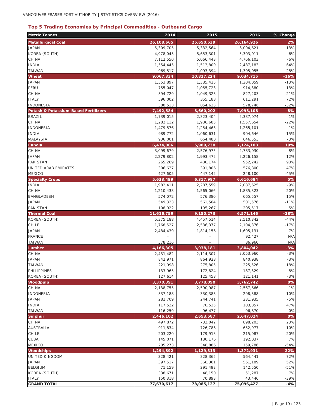#### **Top 5 Trading Economies by Principal Commodities - Outbound Cargo**

| <b>Metric Tonnes</b>                 | 2014       | 2015       | 2016         | % Change |
|--------------------------------------|------------|------------|--------------|----------|
| <b>Metallurgical Coal</b>            | 26,108,665 | 25,650,539 | 26, 164, 926 | 2%       |
| <b>JAPAN</b>                         | 5,309,705  | 5,332,564  | 6,004,621    | 13%      |
| KOREA (SOUTH)                        | 4,978,045  | 5,653,301  | 5,303,011    | $-6%$    |
| CHINA                                | 7,112,550  | 5,066,443  | 4,766,103    | $-6%$    |
| <b>INDIA</b>                         | 1,554,445  | 1,513,809  | 2,487,183    | 64%      |
| <b>TAIWAN</b>                        | 969,517    | 1,093,394  | 1,395,055    | 28%      |
| Wheat                                | 9,067,334  | 10,817,224 | 9,034,715    | $-16%$   |
| <b>JAPAN</b>                         | 1,353,897  | 1,385,425  | 1,204,059    | $-13%$   |
| PERU                                 | 755,047    | 1,055,723  | 914,380      | $-13%$   |
| CHINA                                | 394,729    | 1,049,323  | 827,203      | $-21%$   |
| <b>ITALY</b>                         | 596,002    | 355,188    | 611,291      | 72%      |
| <b>INDONESIA</b>                     | 380,513    | 854,633    | 578,746      | $-32%$   |
| Potash & Potassium-Based Fertilizers | 7,492,584  | 8,660,202  | 7,998,108    | $-8%$    |
| <b>BRAZIL</b>                        | 1,739,015  | 2,323,404  | 2,337,074    | 1%       |
| CHINA                                | 1,282,112  | 1,986,685  | 1,557,654    | $-22%$   |
| <b>INDONESIA</b>                     | 1,479,576  | 1,254,463  | 1,265,101    | 1%       |
| <b>INDIA</b>                         | 989,772    | 1,060,631  | 904,646      | $-15%$   |
| MALAYSIA                             | 936,001    | 664,480    | 646,553      | $-3%$    |
| Canola                               | 6,474,086  | 5,989,730  | 7,124,108    | 19%      |
| CHINA                                | 3,099,679  | 2,576,975  | 2,783,030    | 8%       |
| <b>JAPAN</b>                         | 2,279,802  | 1,993,472  | 2,226,158    | 12%      |
| PAKISTAN                             | 265,269    | 480,174    | 952,242      | 98%      |
| UNITED ARAB EMIRATES                 | 306,637    | 391,806    | 576,800      | 47%      |
| <b>MEXICO</b>                        | 427,605    | 447,142    | 248,100      | $-45%$   |
| <b>Specialty Crops</b>               | 5,633,499  | 6,317,987  | 6,616,684    | 5%       |
| <b>INDIA</b>                         | 1,982,411  | 2,287,559  | 2,087,625    | $-9%$    |
| CHINA                                | 1,210,433  | 1,565,066  | 1,885,323    | 20%      |
| BANGLADESH                           | 574,072    | 576,380    | 665,557      | 15%      |
| <b>JAPAN</b>                         | 549,323    | 561,504    | 501,576      | $-11%$   |
| PAKISTAN                             | 108,022    | 195,267    | 205,517      | 5%       |
| <b>Thermal Coal</b>                  | 11,616,759 | 9,150,273  | 6,571,146    | $-28%$   |
| KOREA (SOUTH)                        | 5,375,188  | 4,457,514  | 2,510,342    | $-44%$   |
| CHILE                                | 1,768,527  | 2,536,377  | 2,104,376    | $-17%$   |
| <b>JAPAN</b>                         | 2,484,439  | 1,814,156  | 1,695,131    | $-7%$    |
| <b>FRANCE</b>                        |            |            | 92,427       | N/A      |
| <b>TAIWAN</b>                        | 578,216    |            | 86,960       | N/A      |
| Lumber                               | 4,166,305  | 3,938,181  | 3,804,042    | $-3%$    |
| CHINA                                | 2,431,482  | 2,114,307  | 2,053,960    | $-3%$    |
| <b>JAPAN</b>                         | 842,971    | 864,928    | 840,938      | $-3%$    |
| <b>TAIWAN</b>                        | 221,998    | 275,805    | 225,526      | $-18%$   |
| <b>PHILIPPINES</b>                   | 133,965    | 172,824    | 187,329      | 8%       |
| KOREA (SOUTH)                        | 127,614    | 125,458    | 121,141      | $-3%$    |
| <b>Woodpulp</b>                      | 3,370,391  | 3,778,090  | 3,762,742    | 0%       |
| CHINA                                | 2,138,755  | 2,590,987  | 2,567,666    | $-1%$    |
| <b>INDONESIA</b>                     | 337,188    | 330,383    | 298,388      | $-10%$   |
| <b>JAPAN</b>                         | 281,709    | 244,741    | 231,935      | $-5%$    |
| <b>INDIA</b>                         | 117,522    | 70,535     | 103,857      | 47%      |
| <b>TAIWAN</b>                        | 116,259    | 96,477     | 96,870       | 0%       |
| <b>Sulphur</b>                       | 2,446,102  | 2,653,587  | 2,647,024    | 0%       |
| CHINA                                | 497,872    | 732,042    | 898,203      | 23%      |
| <b>AUSTRALIA</b>                     | 911,834    | 726,786    | 652,977      | $-10%$   |
| <b>CHILE</b>                         | 203,220    | 179,913    | 215,087      | 20%      |
| <b>CUBA</b>                          | 145,071    | 180,176    | 192,037      | 7%       |
| <b>MEXICO</b>                        | 205,273    | 348,886    | 159,786      | $-54%$   |
| <b>Woodchips</b>                     | 1,294,892  | 1,129,313  | 1,372,931    | 22%      |
| UNITED KINGDOM                       | 328,421    | 328,365    | 564,441      | 72%      |
| <b>JAPAN</b>                         | 397,517    | 368,361    | 561,189      | 52%      |
| <b>BELGIUM</b>                       | 71,159     | 291,492    | 142,550      | $-51%$   |
| KOREA (SOUTH)                        | 338,671    | 48,150     | 51,287       | 7%       |
| <b>ITALY</b>                         | 150,318    | 70,893     | 43,446       | $-39%$   |
| <b>GRAND TOTAL</b>                   | 77,670,617 | 78,085,127 | 75,096,427   | $-4%$    |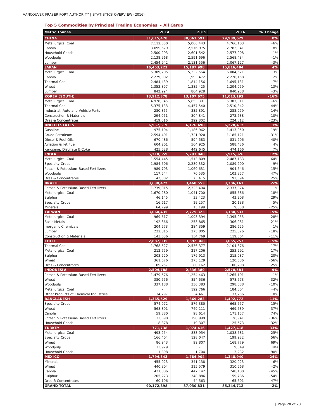#### **Top 5 Commodities by Principal Trading Economies - All Cargo**

| <b>Metric Tonnes</b>                                        | 2014                    | 2015                      | 2016                    | % Change         |
|-------------------------------------------------------------|-------------------------|---------------------------|-------------------------|------------------|
| <b>CHINA</b>                                                | 31,615,478              | 30,063,591                | 29,989,629              | 0%               |
| Metallurgical Coal                                          | 7,112,550               | 5,066,443                 | 4,766,103               | $-6%$            |
| Canola                                                      | 3,099,679               | 2,576,975                 | 2,783,041               | 8%               |
| <b>Household Goods</b>                                      | 2,500,293               | 2,601,542                 | 2,577,908               | $-1%$            |
| Woodpulp                                                    | 2,138,968               | 2,591,696                 | 2,568,434               | $-1%$            |
| Lumber<br><b>JAPAN</b>                                      | 2,454,942               | 2,131,556                 | 2,067,127               | $-3%$<br>4%      |
| Metallurgical Coal                                          | 16,453,223<br>5,309,705 | 15, 187, 998<br>5,332,564 | 15,816,484<br>6,004,621 | 13%              |
| Canola                                                      | 2,279,802               | 1,993,472                 | 2,226,158               | 12%              |
| Thermal Coal                                                | 2,484,439               | 1,814,156                 | 1,695,131               | $-7%$            |
| Wheat                                                       | 1,353,897               | 1,385,425                 | 1,204,059               | $-13%$           |
| Lumber                                                      | 842,994                 | 864,928                   | 840,938                 | $-3%$            |
| <b>KOREA (SOUTH)</b>                                        | 13,912,378              | 13,107,675                | 11,013,193              | $-16%$           |
| Metallurgical Coal                                          | 4,978,045               | 5,653,301                 | 5,303,011               | $-6%$            |
| Thermal Coal                                                | 5,375,188               | 4,457,540                 | 2,510,342               | $-44%$           |
| Industrial, Auto and Vehicle Parts                          | 280,865                 | 335,891                   | 288,979                 | $-14%$           |
| <b>Construction &amp; Materials</b>                         | 294,061                 | 304,841                   | 273,638                 | $-10%$           |
| Ores & Concentrates<br><b>UNITED STATES</b>                 | 419,016<br>6,957,519    | 292,802                   | 224,812                 | $-23%$<br>1%     |
| Gasoline                                                    | 975,104                 | 6,176,490<br>1,186,962    | 6,228,412<br>1,413,050  | 19%              |
| Crude Petroleum                                             | 2,594,401               | 1,721,920                 | 1,185,121               | $-31%$           |
| Diesel & Fuel Oils                                          | 670,486                 | 594,583                   | 831,296                 | 40%              |
| Aviation & Jet Fuel                                         | 604,201                 | 564,925                   | 588,436                 | 4%               |
| Kerosene, Distillate & Coke                                 | 425,528                 | 442,645                   | 474,166                 | 7%               |
| <b>INDIA</b>                                                | 5,218,559               | 5,293,840                 | 5,915,326               | 12%              |
| Metallurgical Coal                                          | 1,554,445               | 1,513,809                 | 2,487,183               | 64%              |
| <b>Specialty Crops</b>                                      | 1,984,506               | 2,289,332                 | 2,089,290               | $-9%$            |
| Potash & Potassium-Based Fertilizers                        | 989,793                 | 1,060,631                 | 904,646                 | $-15%$           |
| Woodpulp                                                    | 117,544                 | 70,535                    | 103,857                 | 47%              |
| Ores & Concentrates                                         | 42,382                  | 73,415                    | 92,094                  | 25%              |
| <b>BRAZIL</b>                                               | 3,630,472               | 3,468,553                 | 3,306,167               | $-5%$            |
| Potash & Potassium-Based Fertilizers<br>Metallurgical Coal  | 1,739,015<br>1,670,280  | 2,323,404<br>1,041,700    | 2,337,074<br>855,586    | 1%<br>$-18%$     |
| Sulphur                                                     | 46,145                  | 33,423                    | 43,208                  | 29%              |
| <b>Specialty Crops</b>                                      | 16,617                  | 19,257                    | 20,138                  | 5%               |
| Minerals                                                    | 64,799                  | 13,199                    | 9,858                   | $-25%$           |
| <b>TAIWAN</b>                                               | 3,060,435               | 2,775,323                 | 3,180,533               | 15%              |
| Metallurgical Coal                                          | 969,517                 | 1,093,394                 | 1,395,055               | 28%              |
| <b>Basic Metals</b>                                         | 192,866                 | 253,865                   | 306,281                 | 21%              |
| Inorganic Chemicals                                         | 204,573                 | 284,359                   | 286,625                 | 1%               |
| Lumber                                                      | 222,015                 | 275,805                   | 225,526                 | $-18%$           |
| Construction & Materials<br><b>CHILE</b>                    | 143,656                 | 134,769<br>3,592,368      | 119,564<br>3,055,257    | $-11%$<br>$-15%$ |
| Thermal Coal                                                | 2,887,935<br>1,768,527  | 2,536,377                 | 2,104,376               | $-17%$           |
| Metallurgical Coal                                          | 212,759                 | 217,206                   | 253,292                 | 17%              |
| Sulphur                                                     | 203,220                 | 179,913                   | 215,087                 | 20%              |
| Wheat                                                       | 361,676                 | 273,129                   | 120,686                 | $-56%$           |
| Ores & Concentrates                                         | 109.257                 | 80.162                    | 100.298                 | 25%              |
| <b>INDONESIA</b>                                            | 2,504,788               | 2,836,389                 | 2,570,581               | $-9%$            |
| Potash & Potassium-Based Fertilizers                        | 1,479,576               | 1,254,463                 | 1,265,101               | 1%               |
| Wheat                                                       | 380,556                 | 854,636                   | 578,773                 | $-32%$           |
| Woodpulp                                                    | 337,188                 | 330,383                   | 298,388                 | $-10%$           |
| Metallurgical Coal<br>Other Products of Chemical Industries |                         | 192,766                   | 184,804                 | $-4%$            |
| <b>BANGLADESH</b>                                           | 34,297<br>1,365,529     | 34,461<br>1,669,283       | 37,756<br>1,492,772     | 10%<br>$-11%$    |
| <b>Specialty Crops</b>                                      | 574,072                 | 576,380                   | 665,557                 | 15%              |
| Wheat                                                       | 568,891                 | 749,111                   | 469,539                 | $-37%$           |
| Canola                                                      | 59,880                  | 98,614                    | 171,157                 | 74%              |
| Potash & Potassium-Based Fertilizers                        | 132,698                 | 198,999                   | 126,941                 | $-36%$           |
| <b>Household Goods</b>                                      | 8,378                   | 19,307                    | 25,573                  | 32%              |
| <b>TURKEY</b>                                               | 771,738                 | 1,074,416                 | 1,427,418               | 33%              |
| Metallurgical Coal                                          | 493,254                 | 833,954                   | 1,038,581               | 25%              |
| <b>Specialty Crops</b>                                      | 166,404                 | 128,047                   | 199,932                 | 56%              |
| Wheat                                                       | 86,943                  | 99,807                    | 168,779                 | 69%              |
| Woodpulp                                                    | 13,929                  |                           | 9,349                   | N/A              |
| <b>Household Goods</b>                                      | 1,398                   | 1,704                     | 3,232                   | 90%              |
| <b>MEXICO</b><br>Minerals                                   | 1,794,343<br>455,023    | 1,784,904<br>341,138      | 1,348,940<br>320,023    | $-24%$<br>$-6%$  |
| Wheat                                                       | 440,804                 | 315,579                   | 310,568                 | $-2%$            |
| Canola                                                      | 427,806                 | 447,142                   | 248,100                 | $-45%$           |
| Sulphur                                                     | 205,273                 | 348,886                   | 159,786                 | $-54%$           |
| Ores & Concentrates                                         | 60,196                  | 44,563                    | 65,601                  | 47%              |
| <b>GRAND TOTAL</b>                                          | 90,172,398              | 87,030,831                | 85,344,712              | $-2%$            |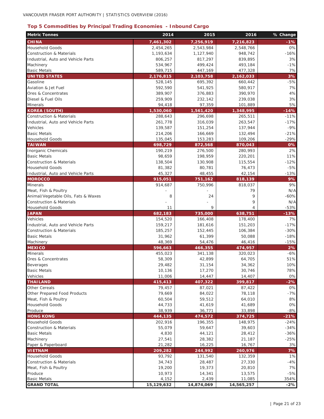## **Top 5 Commodities by Principal Trading Economies - Inbound Cargo**

| <b>Metric Tonnes</b>                   | 2014              | 2015             | 2016              | % Change    |
|----------------------------------------|-------------------|------------------|-------------------|-------------|
| <b>CHINA</b>                           | 7,461,302         | 7,256,919        | 7,216,823         | -1%         |
| <b>Household Goods</b>                 | 2,454,265         | 2,543,984        | 2,548,766         | 0%          |
| <b>Construction &amp; Materials</b>    | 1,193,634         | 1,127,940        | 948,742           | $-16%$      |
| Industrial, Auto and Vehicle Parts     | 806,257           | 817,297          | 839,895           | 3%          |
| Machinery                              | 534,967           | 499,424          | 493,184           | $-1%$       |
| <b>Basic Metals</b>                    | 589,715           | 447,169          | 477,328           | 7%          |
| <b>UNITED STATES</b>                   | 2,176,815         | 2,103,758        | 2,162,033         | 3%          |
| Gasoline                               | 528,145           | 695,392          | 660,442           | $-5%$       |
| Aviation & Jet Fuel                    | 592,590           | 541,925          | 580,917           | 7%          |
| Ores & Concentrates                    | 389,907           | 376,883          | 390,970           | 4%          |
| Diesel & Fuel Oils                     | 259,909           | 232,142          | 239,038           | 3%          |
| Minerals                               | 94,418            | 97,359           | 101,889           | 5%          |
| <b>KOREA (SOUTH)</b>                   | 1,530,060         | 1,561,420        | 1,348,995         | $-14%$      |
| <b>Construction &amp; Materials</b>    | 288,643           | 296,698          | 265,511           | $-11%$      |
| Industrial, Auto and Vehicle Parts     | 261,778           | 316,039          | 263,547           | $-17%$      |
| Vehicles                               | 139,587           | 151,254          | 137,944           | $-9%$       |
| <b>Basic Metals</b>                    | 214,206           | 166,669          | 132,494           | $-21%$      |
| <b>Household Goods</b>                 | 135,045           | 153,283          | 109,206           | $-29%$      |
| <b>TAIWAN</b>                          | 698,729           | 872,568          | 870,043           | 0%          |
| Inorganic Chemicals                    | 190,219           | 276,500          | 280,993           | 2%          |
| <b>Basic Metals</b>                    | 98,659            | 198,959          | 220,201           | 11%         |
| <b>Construction &amp; Materials</b>    | 138,504           | 130,908          | 115,554           | $-12%$      |
| Household Goods                        | 81,382            | 80,781           | 76,473            | $-5%$       |
| Industrial, Auto and Vehicle Parts     | 45,327            | 48,455           | 42,154            | $-13%$      |
| <b>MOROCCO</b>                         | 915,051           | 751,162          | 818,139           | 9%          |
| <b>Minerals</b>                        | 914,687           | 750,996          | 818,037           | 9%          |
| Meat, Fish & Poultry                   |                   |                  | 79                | N/A         |
| Animal/Vegetable Oils, Fats & Waxes    | 8                 | 24               | 9                 | $-60%$      |
| <b>Construction &amp; Materials</b>    |                   |                  | 9                 | N/A         |
| <b>Household Goods</b>                 | 11                | 9                | 4                 | $-53%$      |
| <b>JAPAN</b>                           | 682,183           | 735,000          | 638,751           | $-13%$      |
| Vehicles                               | 154,520           | 166,408          | 178,400           | 7%          |
| Industrial, Auto and Vehicle Parts     | 159,217           | 181,616          | 151,203           | $-17%$      |
| <b>Construction &amp; Materials</b>    | 185,257           | 152,445          | 106,384           | $-30%$      |
| <b>Basic Metals</b>                    | 31,962            | 61,399           | 50,088            | $-18%$      |
| Machinery                              | 48,369            | 54,476           | 46,416            | $-15%$      |
| <b>MEXICO</b>                          | 596,663           | 466,355          | 474,957           | 2%<br>$-6%$ |
| <b>Minerals</b><br>Ores & Concentrates | 455,023<br>58,309 | 341,138          | 320,023<br>64,705 | 51%         |
| <b>Beverages</b>                       | 29,482            | 42,899<br>31,154 | 34,362            | 10%         |
| <b>Basic Metals</b>                    | 10,136            | 17,270           | 30,746            | 78%         |
| Vehicles                               | 11,006            | 14,447           | 14,407            | 0%          |
| <b>THAILAND</b>                        | 415,413           | 407,322          | 399,817           | $-2%$       |
| Other Cereals                          | 79,457            | 87,021           | 87,422            | 0%          |
| Other Prepared Food Products           | 79,669            | 84,022           | 78,118            | $-7%$       |
| Meat, Fish & Poultry                   | 60,504            | 59,512           | 64,010            | 8%          |
| <b>Household Goods</b>                 | 44,733            | 41,619           | 41,689            | 0%          |
| Produce                                | 38,939            | 36,771           | 33,898            | $-8%$       |
| <b>HONG KONG</b>                       | 444,135           | 474,572          | 374,725           | $-21%$      |
| <b>Household Goods</b>                 | 202,916           | 196,355          | 148,975           | $-24%$      |
| <b>Construction &amp; Materials</b>    | 55,079            | 59,647           | 39,603            | $-34%$      |
| <b>Basic Metals</b>                    | 4,830             | 44,121           | 28,412            | $-36%$      |
| Machinery                              | 27,541            | 28,382           | 21,187            | $-25%$      |
| Paper & Paperboard                     | 21,282            | 16,225           | 16,767            | 3%          |
| <b>VIETNAM</b>                         | 209,282           | 244,992          | 260,976           | 7%          |
| <b>Household Goods</b>                 | 93,792            | 131,540          | 132,359           | 1%          |
| <b>Construction &amp; Materials</b>    | 34,743            | 28,487           | 27,330            | $-4%$       |
| Meat, Fish & Poultry                   | 19,200            | 19,373           | 20,810            | 7%          |
| Produce                                | 10,973            | 14,341           | 13,575            | $-5%$       |
| <b>Basic Metals</b>                    | 4,152             | 2,439            | 11,085            | 354%        |
| <b>GRAND TOTAL</b>                     | 15,129,632        | 14,874,069       | 14,565,257        | $-2%$       |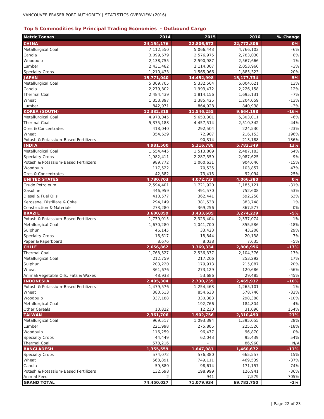## **Top 5 Commodities by Principal Trading Economies - Outbound Cargo**

| <b>Metric Tonnes</b>                                     | 2014                 | 2015               | 2016                 | % Change     |
|----------------------------------------------------------|----------------------|--------------------|----------------------|--------------|
| <b>CHINA</b>                                             | 24, 154, 176         | 22,806,672         | 22,772,806           | 0%           |
| Metallurgical Coal                                       | 7,112,550            | 5,066,443          | 4,766,103            | $-6%$        |
| Canola                                                   | 3,099,679            | 2,576,975          | 2,783,030            | 8%           |
| Woodpulp                                                 | 2,138,755            | 2,590,987          | 2,567,666            | $-1%$        |
| Lumber                                                   | 2,431,482            | 2,114,307          | 2,053,960            | $-3%$        |
| <b>Specialty Crops</b>                                   | 1,210,433            | 1,565,066          | 1,885,323            | 20%          |
| <b>JAPAN</b>                                             | 15,771,040           | 14,452,998         | 15, 177, 734         | 5%           |
| Metallurgical Coal                                       | 5,309,705            | 5,332,564          | 6,004,621            | 13%          |
| Canola                                                   | 2,279,802            | 1,993,472          | 2,226,158            | 12%          |
| <b>Thermal Coal</b>                                      | 2,484,439            | 1,814,156          | 1,695,131            | $-7%$        |
| Wheat                                                    | 1,353,897            | 1,385,425          | 1,204,059            | $-13%$       |
| Lumber                                                   | 842,971              | 864,928            | 840,938              | $-3%$        |
| <b>KOREA (SOUTH)</b>                                     | 12,382,318           | 11,546,255         | 9,664,198            | $-16%$       |
| Metallurgical Coal                                       | 4,978,045            | 5,653,301          | 5,303,011            | $-6%$        |
| Thermal Coal                                             | 5,375,188            | 4,457,514          | 2,510,342            | $-44%$       |
| Ores & Concentrates                                      | 418,040              | 292,504            | 224,530              | $-23%$       |
| Wheat                                                    | 354,629              | 72,907             | 216,153              | 196%         |
| Potash & Potassium-Based Fertilizers                     |                      | 90,314             | 213,188              | 136%         |
| <b>INDIA</b>                                             | 4,981,500            | 5,116,788          | 5,782,349            | 13%          |
| Metallurgical Coal                                       | 1,554,445            | 1,513,809          | 2,487,183            | 64%          |
| <b>Specialty Crops</b>                                   | 1,982,411            | 2,287,559          | 2,087,625            | $-9%$        |
| Potash & Potassium-Based Fertilizers                     | 989,772              | 1,060,631          | 904,646              | $-15%$       |
| Woodpulp                                                 | 117,522              | 70,535             | 103,857              | 47%          |
| Ores & Concentrates                                      | 42,382               | 73,415             | 92,094               | 25%          |
| <b>UNITED STATES</b>                                     | 4,780,703            | 4,072,732          | 4,066,380            | 0%           |
| Crude Petroleum                                          | 2,594,401            | 1,721,920          | 1,185,121            | $-31%$       |
| Gasoline                                                 | 446,959              | 491,570            | 752,608              | 53%          |
| Diesel & Fuel Oils                                       | 410,577              | 362,441            | 592,258              | 63%          |
| Kerosene, Distillate & Coke                              | 294,149              | 381,538            | 383,748              | 1%           |
| <b>Construction &amp; Materials</b>                      | 273,280              | 369,256            | 367,577              | 0%           |
| <b>BRAZIL</b>                                            | 3,600,859            | 3,433,685          | 3,274,229            | $-5%$        |
| Potash & Potassium-Based Fertilizers                     | 1,739,015            | 2,323,404          | 2,337,074            | 1%           |
| Metallurgical Coal                                       | 1,670,280            | 1,041,700          | 855,586              | $-18%$       |
| Sulphur                                                  | 46,145               | 33,423             | 43,208               | 29%          |
| <b>Specialty Crops</b>                                   | 16,617               | 18,844             | 20,138               | 7%           |
| Paper & Paperboard                                       | 8,676                | 8,038              | 7,635                | $-5%$        |
| <b>CHILE</b>                                             | 2,656,862            | 3,369,334          | 2,808,956            | $-17%$       |
| Thermal Coal                                             | 1,768,527            | 2,536,377          | 2,104,376            | $-17%$       |
| Metallurgical Coal                                       | 212,759              | 217,206            | 253,292              | 17%          |
| Sulphur                                                  | 203,220              | 179,913            | 215,087              | 20%          |
| Wheat                                                    | 361,676              | 273,129            | 120,686              | 56%          |
| Animal/Vegetable Oils, Fats & Waxes                      | 48,938               | 53,686             | 29,485               | $-45%$       |
| <b>INDONESIA</b><br>Potash & Potassium-Based Fertilizers | 2,405,304            | 2,730,735          | 2,465,937            | $-10%$<br>1% |
| Wheat                                                    | 1,479,576<br>380,513 | 1,254,463          | 1,265,101<br>578,746 | $-32%$       |
| Woodpulp                                                 | 337,188              | 854,633<br>330,383 | 298,388              | $-10%$       |
| Metallurgical Coal                                       |                      | 192,766            | 184,804              | $-4%$        |
| Other Cereals                                            | 10,822               | 12,230             | 31,096               | 154%         |
| <b>TAIWAN</b>                                            | 2,361,706            | 1,902,756          | 2,310,490            | 21%          |
| Metallurgical Coal                                       | 969,517              | 1,093,394          | 1,395,055            | 28%          |
| Lumber                                                   | 221,998              | 275,805            | 225,526              | $-18%$       |
| Woodpulp                                                 | 116,259              | 96,477             | 96,870               | 0%           |
| <b>Specialty Crops</b>                                   | 44,449               | 62,043             | 95,439               | 54%          |
| <b>Thermal Coal</b>                                      | 578,216              |                    | 86,960               | N/A          |
| <b>BANGLADESH</b>                                        | 1,355,559            | 1,647,981          | 1,460,672            | $-11%$       |
| <b>Specialty Crops</b>                                   | 574,072              | 576,380            | 665,557              | 15%          |
| Wheat                                                    | 568,891              | 749,111            | 469,539              | $-37%$       |
| Canola                                                   | 59,880               | 98,614             | 171,157              | 74%          |
| Potash & Potassium-Based Fertilizers                     | 132,698              | 198,999            | 126,941              | $-36%$       |
| Animal Feed                                              |                      | 941                | 7,579                | 705%         |
| <b>GRAND TOTAL</b>                                       | 74,450,027           | 71,079,934         | 69,783,750           | $-2%$        |